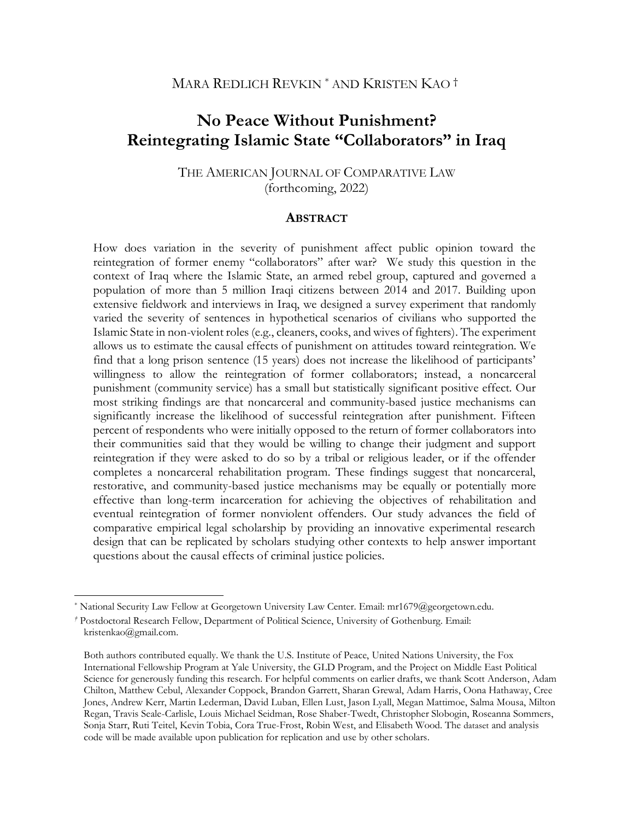# MARA REDLICH REVKIN<sup>\*</sup> AND KRISTEN KAO<sup>†</sup>

# **No Peace Without Punishment? Reintegrating Islamic State "Collaborators" in Iraq**

# THE AMERICAN JOURNAL OF COMPARATIVE LAW (forthcoming, 2022)

### **ABSTRACT**

How does variation in the severity of punishment affect public opinion toward the reintegration of former enemy "collaborators" after war? We study this question in the context of Iraq where the Islamic State, an armed rebel group, captured and governed a population of more than 5 million Iraqi citizens between 2014 and 2017. Building upon extensive fieldwork and interviews in Iraq, we designed a survey experiment that randomly varied the severity of sentences in hypothetical scenarios of civilians who supported the Islamic State in non-violent roles (e.g., cleaners, cooks, and wives of fighters). The experiment allows us to estimate the causal effects of punishment on attitudes toward reintegration. We find that a long prison sentence (15 years) does not increase the likelihood of participants' willingness to allow the reintegration of former collaborators; instead, a noncarceral punishment (community service) has a small but statistically significant positive effect. Our most striking findings are that noncarceral and community-based justice mechanisms can significantly increase the likelihood of successful reintegration after punishment. Fifteen percent of respondents who were initially opposed to the return of former collaborators into their communities said that they would be willing to change their judgment and support reintegration if they were asked to do so by a tribal or religious leader, or if the offender completes a noncarceral rehabilitation program. These findings suggest that noncarceral, restorative, and community-based justice mechanisms may be equally or potentially more effective than long-term incarceration for achieving the objectives of rehabilitation and eventual reintegration of former nonviolent offenders. Our study advances the field of comparative empirical legal scholarship by providing an innovative experimental research design that can be replicated by scholars studying other contexts to help answer important questions about the causal effects of criminal justice policies.

<sup>\*</sup> National Security Law Fellow at Georgetown University Law Center. Email: mr1679@georgetown.edu.

*<sup>†</sup>* Postdoctoral Research Fellow, Department of Political Science, University of Gothenburg. Email: kristenkao@gmail.com.

Both authors contributed equally. We thank the U.S. Institute of Peace, United Nations University, the Fox International Fellowship Program at Yale University, the GLD Program, and the Project on Middle East Political Science for generously funding this research. For helpful comments on earlier drafts, we thank Scott Anderson, Adam Chilton, Matthew Cebul, Alexander Coppock, Brandon Garrett, Sharan Grewal, Adam Harris, Oona Hathaway, Cree Jones, Andrew Kerr, Martin Lederman, David Luban, Ellen Lust, Jason Lyall, Megan Mattimoe, Salma Mousa, Milton Regan, Travis Seale-Carlisle, Louis Michael Seidman, Rose Shaber-Twedt, Christopher Slobogin, Roseanna Sommers, Sonja Starr, Ruti Teitel, Kevin Tobia, Cora True-Frost, Robin West, and Elisabeth Wood. The dataset and analysis code will be made available upon publication for replication and use by other scholars.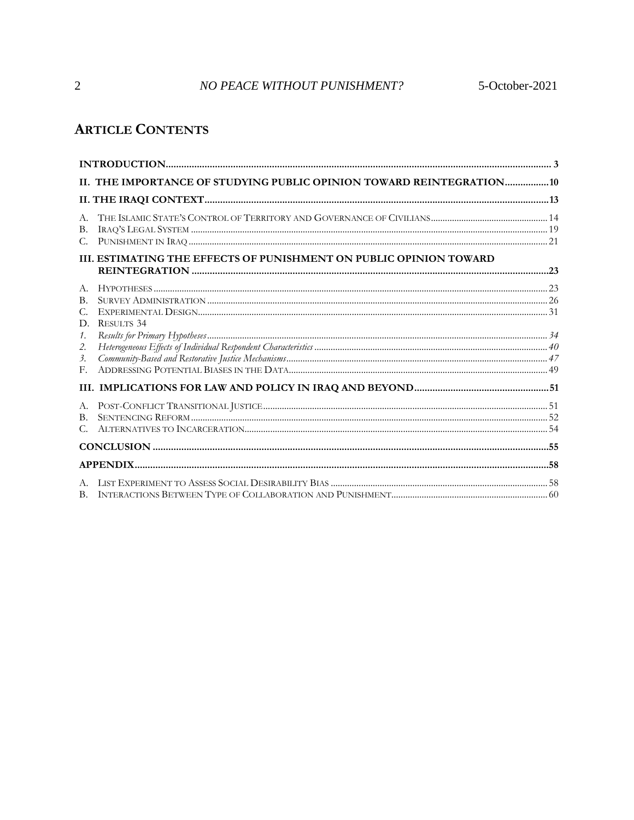# NO PEACE WITHOUT PUNISHMENT? 5-October-2021

# **ARTICLE CONTENTS**

|                                          | II. THE IMPORTANCE OF STUDYING PUBLIC OPINION TOWARD REINTEGRATION 10 |  |
|------------------------------------------|-----------------------------------------------------------------------|--|
|                                          |                                                                       |  |
| A.<br>В.<br>C.                           |                                                                       |  |
|                                          | III. ESTIMATING THE EFFECTS OF PUNISHMENT ON PUBLIC OPINION TOWARD    |  |
| A.<br>$\mathbf{B}$ .<br>С.<br>D.         | <b>RESULTS 34</b>                                                     |  |
| $\mathcal{I}$ .<br>2.<br>$\beta$ .<br>F. |                                                                       |  |
|                                          |                                                                       |  |
| А.<br>B.<br>С.                           |                                                                       |  |
|                                          |                                                                       |  |
|                                          |                                                                       |  |
| $A_{\cdot}$                              |                                                                       |  |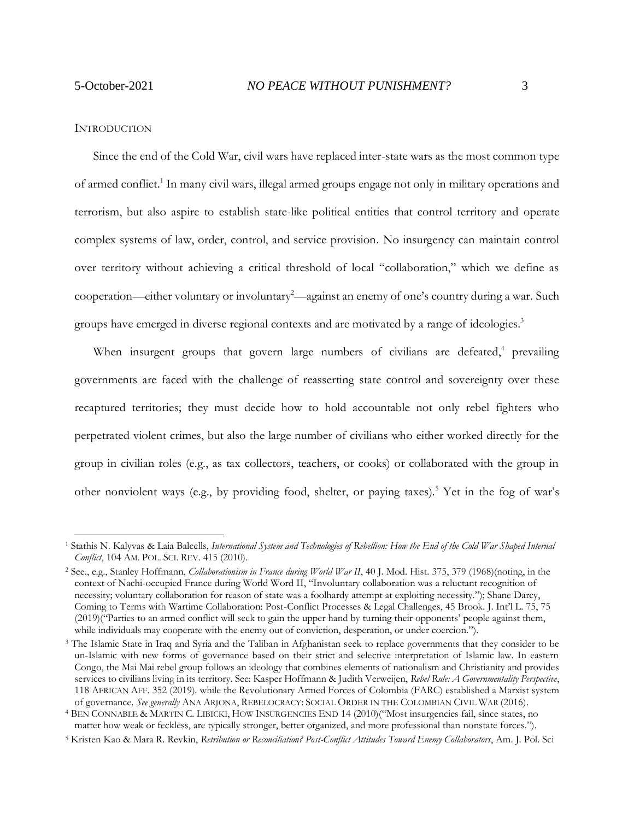#### <span id="page-2-0"></span>**INTRODUCTION**

Since the end of the Cold War, civil wars have replaced inter-state wars as the most common type of armed conflict.<sup>1</sup> In many civil wars, illegal armed groups engage not only in military operations and terrorism, but also aspire to establish state-like political entities that control territory and operate complex systems of law, order, control, and service provision. No insurgency can maintain control over territory without achieving a critical threshold of local "collaboration," which we define as cooperation—either voluntary or involuntary<sup>2</sup>—against an enemy of one's country during a war. Such groups have emerged in diverse regional contexts and are motivated by a range of ideologies. 3

When insurgent groups that govern large numbers of civilians are defeated,<sup>4</sup> prevailing governments are faced with the challenge of reasserting state control and sovereignty over these recaptured territories; they must decide how to hold accountable not only rebel fighters who perpetrated violent crimes, but also the large number of civilians who either worked directly for the group in civilian roles (e.g., as tax collectors, teachers, or cooks) or collaborated with the group in other nonviolent ways (e.g., by providing food, shelter, or paying taxes).<sup>5</sup> Yet in the fog of war's

<sup>1</sup> Stathis N. Kalyvas & Laia Balcells, *International System and Technologies of Rebellion: How the End of the Cold War Shaped Internal Conflict*, 104 AM. POL. SCI. REV. 415 (2010).

<sup>2</sup> See., e.g., Stanley Hoffmann, *Collaborationism in France during World War II*, 40 J. Mod. Hist. 375, 379 (1968)(noting, in the context of Nachi-occupied France during World Word II, "Involuntary collaboration was a reluctant recognition of necessity; voluntary collaboration for reason of state was a foolhardy attempt at exploiting necessity."); Shane Darcy, Coming to Terms with Wartime Collaboration: Post-Conflict Processes & Legal Challenges, 45 Brook. J. Int'l L. 75, 75 (2019)("Parties to an armed conflict will seek to gain the upper hand by turning their opponents' people against them, while individuals may cooperate with the enemy out of conviction, desperation, or under coercion.").

<sup>&</sup>lt;sup>3</sup> The Islamic State in Iraq and Syria and the Taliban in Afghanistan seek to replace governments that they consider to be un-Islamic with new forms of governance based on their strict and selective interpretation of Islamic law. In eastern Congo, the Mai Mai rebel group follows an ideology that combines elements of nationalism and Christianity and provides services to civilians living in its territory. See: Kasper Hoffmann & Judith Verweijen, *Rebel Rule: A Governmentality Perspective*, 118 AFRICAN AFF. 352 (2019). while the Revolutionary Armed Forces of Colombia (FARC) established a Marxist system of governance. *See generally* ANA ARJONA, REBELOCRACY: SOCIAL ORDER IN THE COLOMBIAN CIVIL WAR (2016).

<sup>4</sup> BEN CONNABLE & MARTIN C. LIBICKI, HOW INSURGENCIES END 14 (2010)("Most insurgencies fail, since states, no matter how weak or feckless, are typically stronger, better organized, and more professional than nonstate forces.").

<sup>5</sup> Kristen Kao & Mara R. Revkin, *Retribution or Reconciliation? Post-Conflict Attitudes Toward Enemy Collaborators*, Am. J. Pol. Sci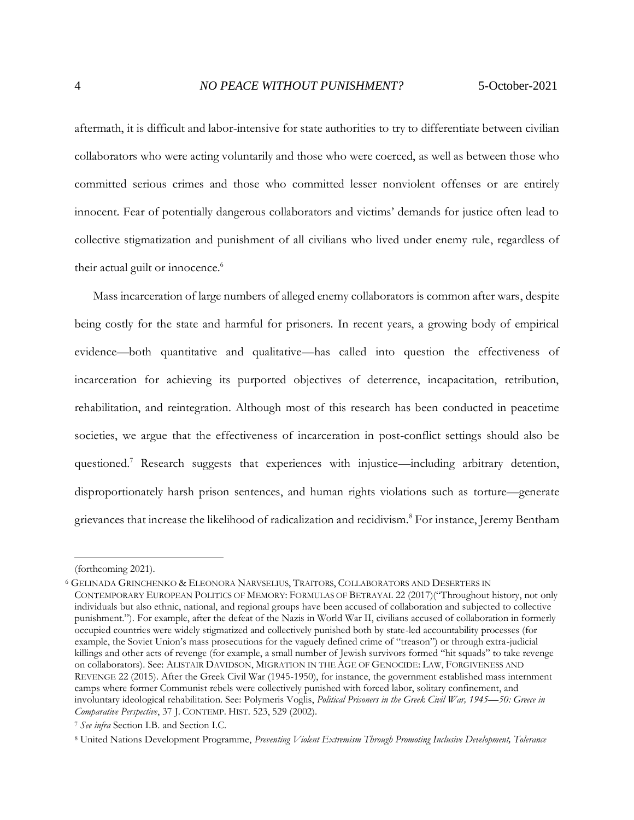aftermath, it is difficult and labor-intensive for state authorities to try to differentiate between civilian collaborators who were acting voluntarily and those who were coerced, as well as between those who committed serious crimes and those who committed lesser nonviolent offenses or are entirely innocent. Fear of potentially dangerous collaborators and victims' demands for justice often lead to collective stigmatization and punishment of all civilians who lived under enemy rule, regardless of their actual guilt or innocence. 6

Mass incarceration of large numbers of alleged enemy collaborators is common after wars, despite being costly for the state and harmful for prisoners. In recent years, a growing body of empirical evidence—both quantitative and qualitative—has called into question the effectiveness of incarceration for achieving its purported objectives of deterrence, incapacitation, retribution, rehabilitation, and reintegration. Although most of this research has been conducted in peacetime societies, we argue that the effectiveness of incarceration in post-conflict settings should also be questioned.<sup>7</sup> Research suggests that experiences with injustice—including arbitrary detention, disproportionately harsh prison sentences, and human rights violations such as torture—generate grievances that increase the likelihood of radicalization and recidivism.<sup>8</sup> For instance, Jeremy Bentham

<sup>(</sup>forthcoming 2021).

<sup>6</sup> GELINADA GRINCHENKO & ELEONORA NARVSELIUS, TRAITORS, COLLABORATORS AND DESERTERS IN CONTEMPORARY EUROPEAN POLITICS OF MEMORY: FORMULAS OF BETRAYAL 22 (2017)("Throughout history, not only individuals but also ethnic, national, and regional groups have been accused of collaboration and subjected to collective punishment."). For example, after the defeat of the Nazis in World War II, civilians accused of collaboration in formerly occupied countries were widely stigmatized and collectively punished both by state-led accountability processes (for example, the Soviet Union's mass prosecutions for the vaguely defined crime of "treason") or through extra-judicial killings and other acts of revenge (for example, a small number of Jewish survivors formed "hit squads" to take revenge on collaborators). See: ALISTAIR DAVIDSON, MIGRATION IN THE AGE OF GENOCIDE: LAW, FORGIVENESS AND REVENGE 22 (2015). After the Greek Civil War (1945-1950), for instance, the government established mass internment camps where former Communist rebels were collectively punished with forced labor, solitary confinement, and involuntary ideological rehabilitation. See: Polymeris Voglis, *Political Prisoners in the Greek Civil War, 1945—50: Greece in Comparative Perspective*, 37 J. CONTEMP. HIST. 523, 529 (2002).

<sup>7</sup> *See infra* Section I.B. and Section I.C.

<sup>8</sup> United Nations Development Programme, *Preventing Violent Extremism Through Promoting Inclusive Development, Tolerance*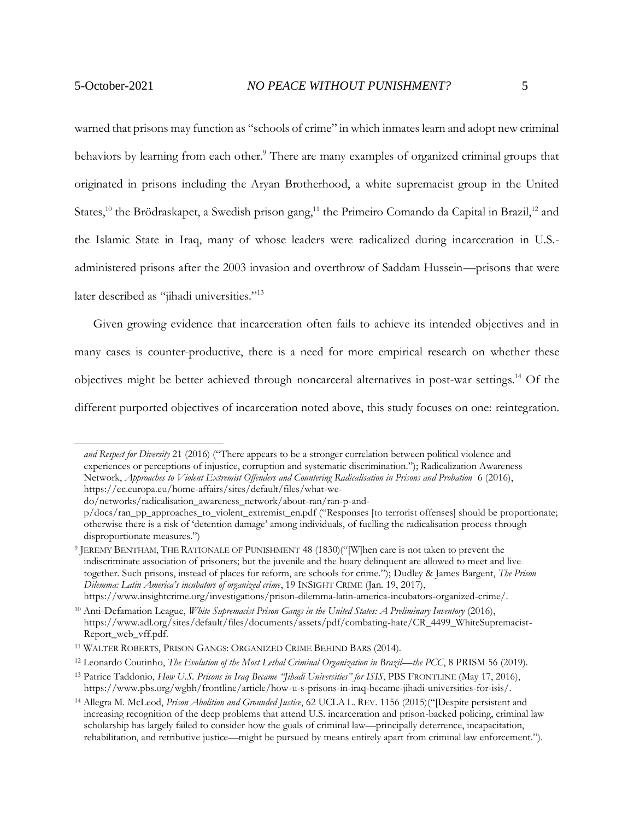warned that prisons may function as "schools of crime" in which inmates learn and adopt new criminal behaviors by learning from each other.<sup>9</sup> There are many examples of organized criminal groups that originated in prisons including the Aryan Brotherhood, a white supremacist group in the United States,<sup>10</sup> the Brödraskapet, a Swedish prison gang,<sup>11</sup> the Primeiro Comando da Capital in Brazil,<sup>12</sup> and the Islamic State in Iraq, many of whose leaders were radicalized during incarceration in U.S. administered prisons after the 2003 invasion and overthrow of Saddam Hussein—prisons that were later described as "jihadi universities."<sup>13</sup>

Given growing evidence that incarceration often fails to achieve its intended objectives and in many cases is counter-productive, there is a need for more empirical research on whether these objectives might be better achieved through noncarceral alternatives in post-war settings. <sup>14</sup> Of the different purported objectives of incarceration noted above, this study focuses on one: reintegration.

*and Respect for Diversity* 21 (2016) ("There appears to be a stronger correlation between political violence and experiences or perceptions of injustice, corruption and systematic discrimination."); Radicalization Awareness Network, *Approaches to Violent Extremist Offenders and Countering Radicalisation in Prisons and Probation* 6 (2016), https://ec.europa.eu/home-affairs/sites/default/files/what-we-

do/networks/radicalisation\_awareness\_network/about-ran/ran-p-and-

p/docs/ran\_pp\_approaches\_to\_violent\_extremist\_en.pdf ("Responses [to terrorist offenses] should be proportionate; otherwise there is a risk of 'detention damage' among individuals, of fuelling the radicalisation process through disproportionate measures.")

<sup>9</sup> JEREMY BENTHAM, THE RATIONALE OF PUNISHMENT 48 (1830)("[W]hen care is not taken to prevent the indiscriminate association of prisoners; but the juvenile and the hoary delinquent are allowed to meet and live together. Such prisons, instead of places for reform, are schools for crime."); Dudley & James Bargent, *The Prison Dilemma: Latin America's incubators of organized crime*, 19 INSIGHT CRIME (Jan. 19, 2017), https://www.insightcrime.org/investigations/prison-dilemma-latin-america-incubators-organized-crime/.

<sup>10</sup> Anti-Defamation League, *White Supremacist Prison Gangs in the United States: A Preliminary Inventory* (2016), https://www.adl.org/sites/default/files/documents/assets/pdf/combating-hate/CR\_4499\_WhiteSupremacist-Report\_web\_vff.pdf.

<sup>11</sup> WALTER ROBERTS, PRISON GANGS: ORGANIZED CRIME BEHIND BARS (2014).

<sup>12</sup> Leonardo Coutinho, *The Evolution of the Most Lethal Criminal Organization in Brazil—the PCC*, 8 PRISM 56 (2019).

<sup>13</sup> Patrice Taddonio, *How U.S. Prisons in Iraq Became "Jihadi Universities" for ISIS*, PBS FRONTLINE (May 17, 2016), https://www.pbs.org/wgbh/frontline/article/how-u-s-prisons-in-iraq-became-jihadi-universities-for-isis/.

<sup>14</sup> Allegra M. McLeod, *Prison Abolition and Grounded Justice*, 62 UCLA L. REV. 1156 (2015)("[Despite persistent and increasing recognition of the deep problems that attend U.S. incarceration and prison-backed policing, criminal law scholarship has largely failed to consider how the goals of criminal law—principally deterrence, incapacitation, rehabilitation, and retributive justice—might be pursued by means entirely apart from criminal law enforcement.").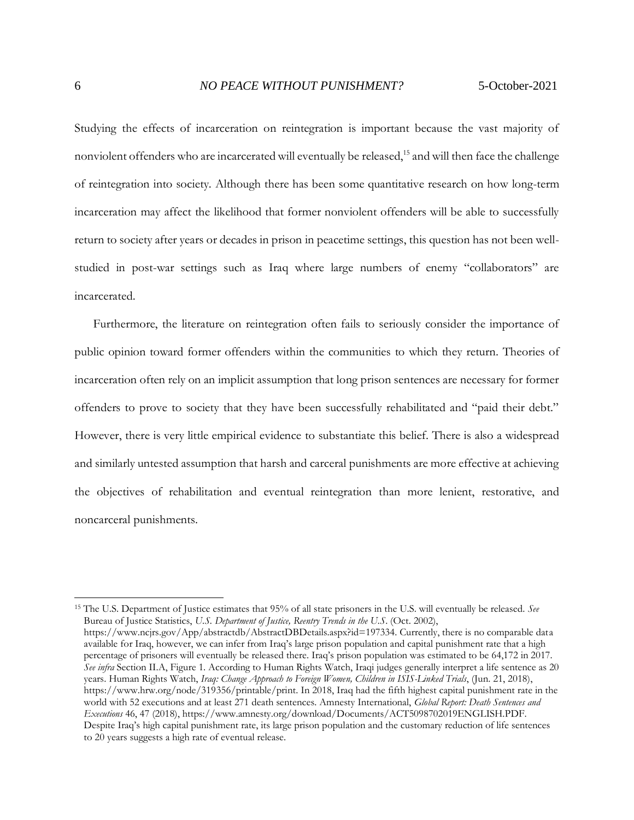Studying the effects of incarceration on reintegration is important because the vast majority of nonviolent offenders who are incarcerated will eventually be released,<sup>15</sup> and will then face the challenge of reintegration into society. Although there has been some quantitative research on how long-term incarceration may affect the likelihood that former nonviolent offenders will be able to successfully return to society after years or decades in prison in peacetime settings, this question has not been wellstudied in post-war settings such as Iraq where large numbers of enemy "collaborators" are incarcerated.

Furthermore, the literature on reintegration often fails to seriously consider the importance of public opinion toward former offenders within the communities to which they return. Theories of incarceration often rely on an implicit assumption that long prison sentences are necessary for former offenders to prove to society that they have been successfully rehabilitated and "paid their debt." However, there is very little empirical evidence to substantiate this belief. There is also a widespread and similarly untested assumption that harsh and carceral punishments are more effective at achieving the objectives of rehabilitation and eventual reintegration than more lenient, restorative, and noncarceral punishments.

<sup>15</sup> The U.S. Department of Justice estimates that 95% of all state prisoners in the U.S. will eventually be released. *See*  Bureau of Justice Statistics, *U.S. Department of Justice, Reentry Trends in the U.S*. (Oct. 2002), https://www.ncjrs.gov/App/abstractdb/AbstractDBDetails.aspx?id=197334. Currently, there is no comparable data available for Iraq, however, we can infer from Iraq's large prison population and capital punishment rate that a high percentage of prisoners will eventually be released there. Iraq's prison population was estimated to be 64,172 in 2017. *See infra* Section II.A, Figure 1. According to Human Rights Watch, Iraqi judges generally interpret a life sentence as 20 years. Human Rights Watch, *Iraq: Change Approach to Foreign Women, Children in ISIS-Linked Trials*, (Jun. 21, 2018), https://www.hrw.org/node/319356/printable/print. In 2018, Iraq had the fifth highest capital punishment rate in the world with 52 executions and at least 271 death sentences. Amnesty International, *Global Report: Death Sentences and Executions* 46, 47 (2018), https://www.amnesty.org/download/Documents/ACT5098702019ENGLISH.PDF. Despite Iraq's high capital punishment rate, its large prison population and the customary reduction of life sentences to 20 years suggests a high rate of eventual release.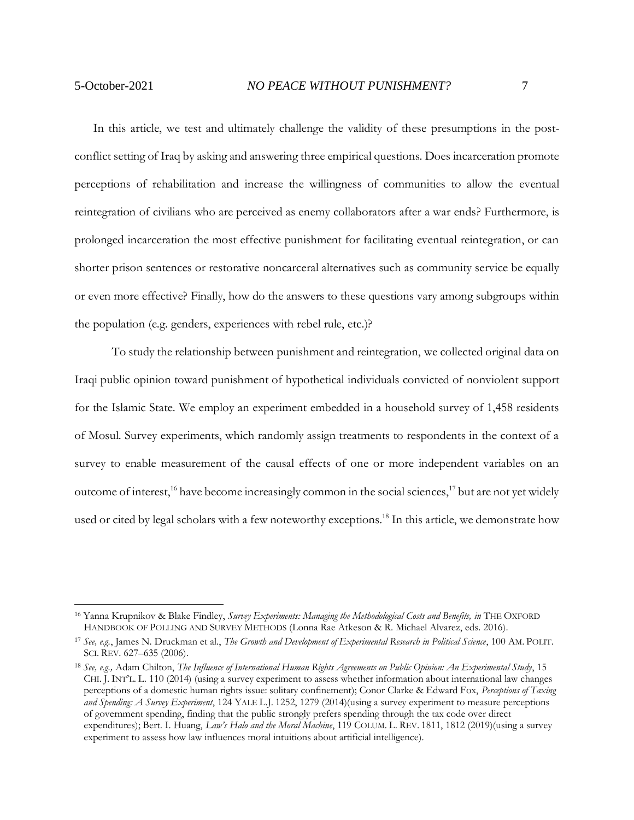In this article, we test and ultimately challenge the validity of these presumptions in the postconflict setting of Iraq by asking and answering three empirical questions. Does incarceration promote perceptions of rehabilitation and increase the willingness of communities to allow the eventual reintegration of civilians who are perceived as enemy collaborators after a war ends? Furthermore, is prolonged incarceration the most effective punishment for facilitating eventual reintegration, or can shorter prison sentences or restorative noncarceral alternatives such as community service be equally or even more effective? Finally, how do the answers to these questions vary among subgroups within the population (e.g. genders, experiences with rebel rule, etc.)?

To study the relationship between punishment and reintegration, we collected original data on Iraqi public opinion toward punishment of hypothetical individuals convicted of nonviolent support for the Islamic State. We employ an experiment embedded in a household survey of 1,458 residents of Mosul. Survey experiments, which randomly assign treatments to respondents in the context of a survey to enable measurement of the causal effects of one or more independent variables on an outcome of interest,<sup>16</sup> have become increasingly common in the social sciences,<sup>17</sup> but are not yet widely used or cited by legal scholars with a few noteworthy exceptions. <sup>18</sup> In this article, we demonstrate how

<sup>16</sup> Yanna Krupnikov & Blake Findley, *Survey Experiments: Managing the Methodological Costs and Benefits, in* THE OXFORD HANDBOOK OF POLLING AND SURVEY METHODS (Lonna Rae Atkeson & R. Michael Alvarez, eds. 2016).

<sup>17</sup> *See, e.g.*, James N. Druckman et al., *The Growth and Development of Experimental Research in Political Science*, 100 AM. POLIT. SCI. REV. 627–635 (2006).

<sup>18</sup> *See, e.g.,* Adam Chilton, *The Influence of International Human Rights Agreements on Public Opinion: An Experimental Study*, 15 CHI. J. INT'L. L. 110 (2014) (using a survey experiment to assess whether information about international law changes perceptions of a domestic human rights issue: solitary confinement); Conor Clarke & Edward Fox, *Perceptions of Taxing and Spending: A Survey Experiment*, 124 YALE L.J. 1252, 1279 (2014)(using a survey experiment to measure perceptions of government spending, finding that the public strongly prefers spending through the tax code over direct expenditures); Bert. I. Huang, *Law's Halo and the Moral Machine*, 119 COLUM. L. REV. 1811, 1812 (2019)(using a survey experiment to assess how law influences moral intuitions about artificial intelligence).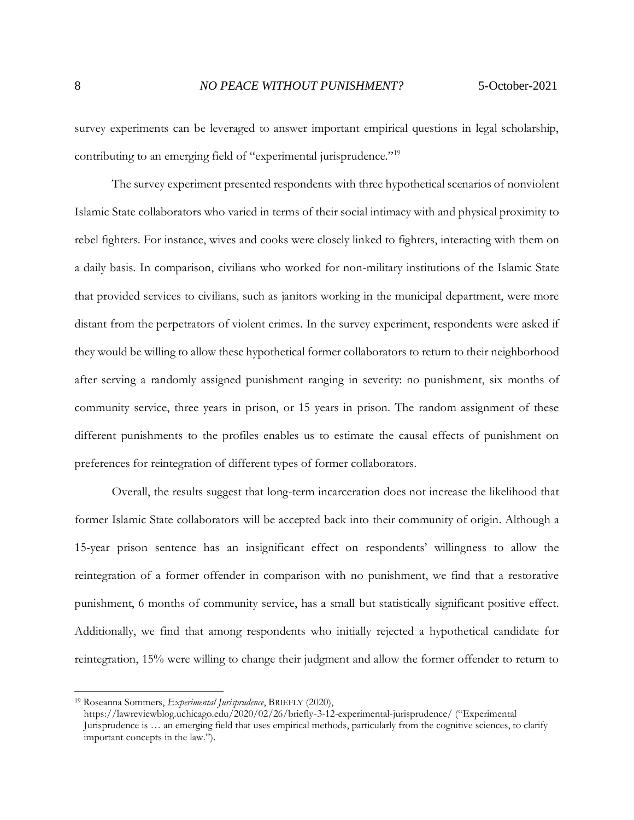survey experiments can be leveraged to answer important empirical questions in legal scholarship, contributing to an emerging field of "experimental jurisprudence."<sup>19</sup>

The survey experiment presented respondents with three hypothetical scenarios of nonviolent Islamic State collaborators who varied in terms of their social intimacy with and physical proximity to rebel fighters. For instance, wives and cooks were closely linked to fighters, interacting with them on a daily basis. In comparison, civilians who worked for non-military institutions of the Islamic State that provided services to civilians, such as janitors working in the municipal department, were more distant from the perpetrators of violent crimes. In the survey experiment, respondents were asked if they would be willing to allow these hypothetical former collaborators to return to their neighborhood after serving a randomly assigned punishment ranging in severity: no punishment, six months of community service, three years in prison, or 15 years in prison. The random assignment of these different punishments to the profiles enables us to estimate the causal effects of punishment on preferences for reintegration of different types of former collaborators.

Overall, the results suggest that long-term incarceration does not increase the likelihood that former Islamic State collaborators will be accepted back into their community of origin. Although a 15-year prison sentence has an insignificant effect on respondents' willingness to allow the reintegration of a former offender in comparison with no punishment, we find that a restorative punishment, 6 months of community service, has a small but statistically significant positive effect. Additionally, we find that among respondents who initially rejected a hypothetical candidate for reintegration, 15% were willing to change their judgment and allow the former offender to return to

<sup>19</sup> Roseanna Sommers, *Experimental Jurisprudence*, BRIEFLY (2020), https://lawreviewblog.uchicago.edu/2020/02/26/briefly-3-12-experimental-jurisprudence/ ("Experimental Jurisprudence is … an emerging field that uses empirical methods, particularly from the cognitive sciences, to clarify important concepts in the law.").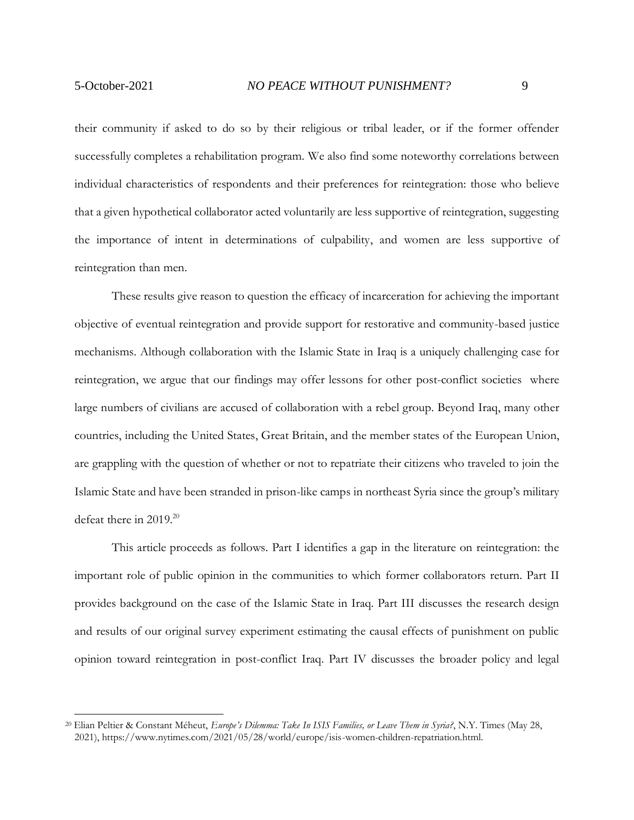reintegration than men.

their community if asked to do so by their religious or tribal leader, or if the former offender successfully completes a rehabilitation program. We also find some noteworthy correlations between individual characteristics of respondents and their preferences for reintegration: those who believe that a given hypothetical collaborator acted voluntarily are less supportive of reintegration, suggesting the importance of intent in determinations of culpability, and women are less supportive of

These results give reason to question the efficacy of incarceration for achieving the important objective of eventual reintegration and provide support for restorative and community-based justice mechanisms. Although collaboration with the Islamic State in Iraq is a uniquely challenging case for reintegration, we argue that our findings may offer lessons for other post-conflict societies where large numbers of civilians are accused of collaboration with a rebel group. Beyond Iraq, many other countries, including the United States, Great Britain, and the member states of the European Union, are grappling with the question of whether or not to repatriate their citizens who traveled to join the Islamic State and have been stranded in prison-like camps in northeast Syria since the group's military defeat there in 2019.<sup>20</sup>

This article proceeds as follows. Part I identifies a gap in the literature on reintegration: the important role of public opinion in the communities to which former collaborators return. Part II provides background on the case of the Islamic State in Iraq. Part III discusses the research design and results of our original survey experiment estimating the causal effects of punishment on public opinion toward reintegration in post-conflict Iraq. Part IV discusses the broader policy and legal

<sup>20</sup> Elian Peltier & Constant Méheut, *Europe's Dilemma: Take In ISIS Families, or Leave Them in Syria?*, N.Y. Times (May 28, 2021), https://www.nytimes.com/2021/05/28/world/europe/isis-women-children-repatriation.html.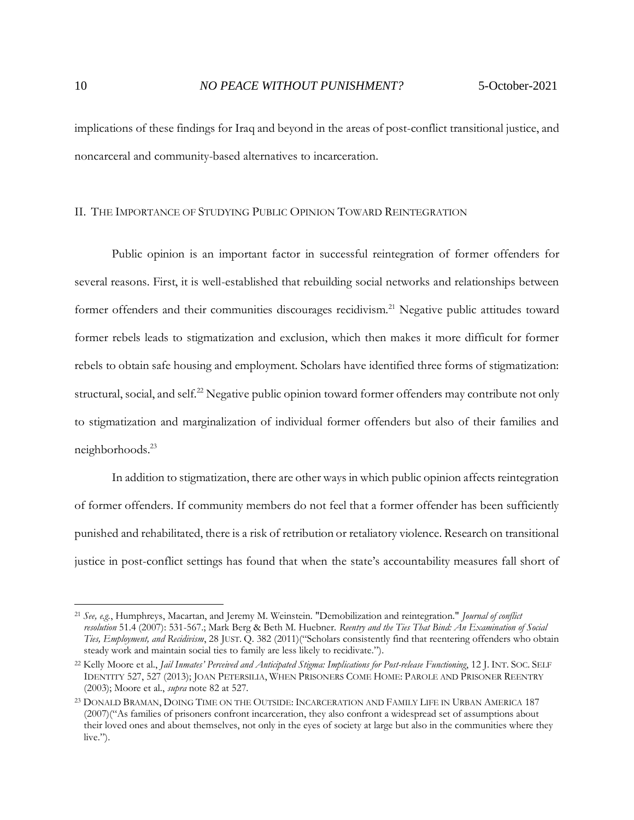implications of these findings for Iraq and beyond in the areas of post-conflict transitional justice, and noncarceral and community-based alternatives to incarceration.

### <span id="page-9-0"></span>II. THE IMPORTANCE OF STUDYING PUBLIC OPINION TOWARD REINTEGRATION

Public opinion is an important factor in successful reintegration of former offenders for several reasons. First, it is well-established that rebuilding social networks and relationships between former offenders and their communities discourages recidivism.<sup>21</sup> Negative public attitudes toward former rebels leads to stigmatization and exclusion, which then makes it more difficult for former rebels to obtain safe housing and employment. Scholars have identified three forms of stigmatization: structural, social, and self.<sup>22</sup> Negative public opinion toward former offenders may contribute not only to stigmatization and marginalization of individual former offenders but also of their families and neighborhoods.<sup>23</sup>

In addition to stigmatization, there are other ways in which public opinion affects reintegration of former offenders. If community members do not feel that a former offender has been sufficiently punished and rehabilitated, there is a risk of retribution or retaliatory violence. Research on transitional justice in post-conflict settings has found that when the state's accountability measures fall short of

<sup>21</sup> *See, e.g.*, Humphreys, Macartan, and Jeremy M. Weinstein. "Demobilization and reintegration." *Journal of conflict resolution* 51.4 (2007): 531-567.; Mark Berg & Beth M. Huebner. *Reentry and the Ties That Bind: An Examination of Social Ties, Employment, and Recidivism*, 28 JUST. Q. 382 (2011)("Scholars consistently find that reentering offenders who obtain steady work and maintain social ties to family are less likely to recidivate.").

<sup>22</sup> Kelly Moore et al., *Jail Inmates' Perceived and Anticipated Stigma: Implications for Post-release Functioning*, 12 J. INT. SOC. SELF IDENTITY 527, 527 (2013); JOAN PETERSILIA, WHEN PRISONERS COME HOME: PAROLE AND PRISONER REENTRY (2003); Moore et al., *supra* note 82 at 527.

<sup>23</sup> DONALD BRAMAN, DOING TIME ON THE OUTSIDE: INCARCERATION AND FAMILY LIFE IN URBAN AMERICA 187 (2007)("As families of prisoners confront incarceration, they also confront a widespread set of assumptions about their loved ones and about themselves, not only in the eyes of society at large but also in the communities where they  $live."$ ).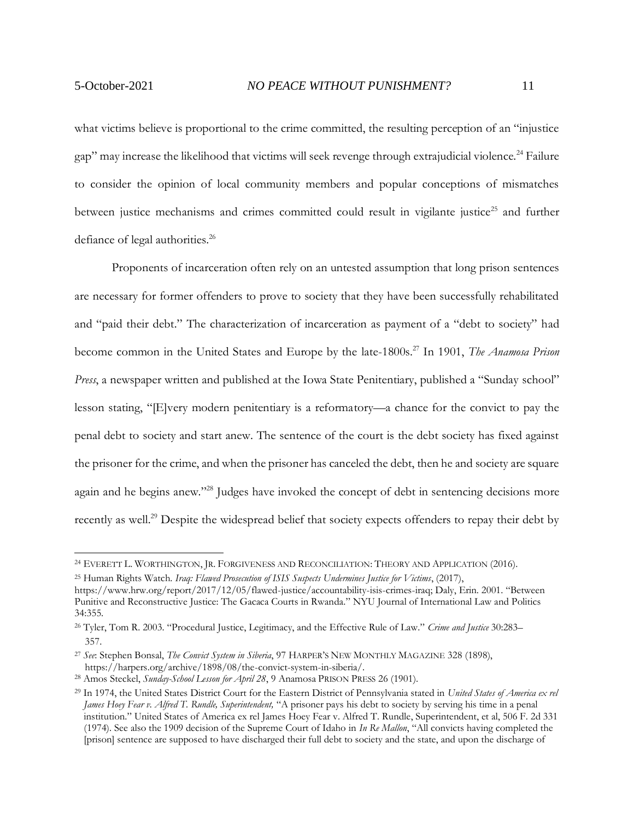what victims believe is proportional to the crime committed, the resulting perception of an "injustice gap" may increase the likelihood that victims will seek revenge through extrajudicial violence.<sup>24</sup> Failure to consider the opinion of local community members and popular conceptions of mismatches between justice mechanisms and crimes committed could result in vigilante justice<sup>25</sup> and further defiance of legal authorities.<sup>26</sup>

Proponents of incarceration often rely on an untested assumption that long prison sentences are necessary for former offenders to prove to society that they have been successfully rehabilitated and "paid their debt." The characterization of incarceration as payment of a "debt to society" had become common in the United States and Europe by the late-1800s.<sup>27</sup> In 1901, *The Anamosa Prison Press*, a newspaper written and published at the Iowa State Penitentiary, published a "Sunday school" lesson stating, "[E]very modern penitentiary is a reformatory—a chance for the convict to pay the penal debt to society and start anew. The sentence of the court is the debt society has fixed against the prisoner for the crime, and when the prisoner has canceled the debt, then he and society are square again and he begins anew."<sup>28</sup> Judges have invoked the concept of debt in sentencing decisions more recently as well.<sup>29</sup> Despite the widespread belief that society expects offenders to repay their debt by

<sup>&</sup>lt;sup>24</sup> EVERETT L. WORTHINGTON, JR. FORGIVENESS AND RECONCILIATION: THEORY AND APPLICATION (2016).

<sup>25</sup> Human Rights Watch. *Iraq: Flawed Prosecution of ISIS Suspects Undermines Justice for Victims*, (2017), https://www.hrw.org/report/2017/12/05/flawed-justice/accountability-isis-crimes-iraq; Daly, Erin. 2001. "Between

Punitive and Reconstructive Justice: The Gacaca Courts in Rwanda." NYU Journal of International Law and Politics 34:355.

<sup>26</sup> Tyler, Tom R. 2003. "Procedural Justice, Legitimacy, and the Effective Rule of Law." *Crime and Justice* 30:283– 357.

<sup>27</sup> *See*: Stephen Bonsal, *The Convict System in Siberia*, 97 HARPER'S NEW MONTHLY MAGAZINE 328 (1898), https://harpers.org/archive/1898/08/the-convict-system-in-siberia/.

<sup>28</sup> Amos Steckel, *Sunday-School Lesson for April 28*, 9 Anamosa PRISON PRESS 26 (1901).

<sup>29</sup> In 1974, the United States District Court for the Eastern District of Pennsylvania stated in *United States of America ex rel James Hoey Fear v. Alfred T. Rundle, Superintendent,* "A prisoner pays his debt to society by serving his time in a penal institution." United States of America ex rel James Hoey Fear v. Alfred T. Rundle, Superintendent, et al, 506 F. 2d 331 (1974). See also the 1909 decision of the Supreme Court of Idaho in *In Re Mallon*, "All convicts having completed the [prison] sentence are supposed to have discharged their full debt to society and the state, and upon the discharge of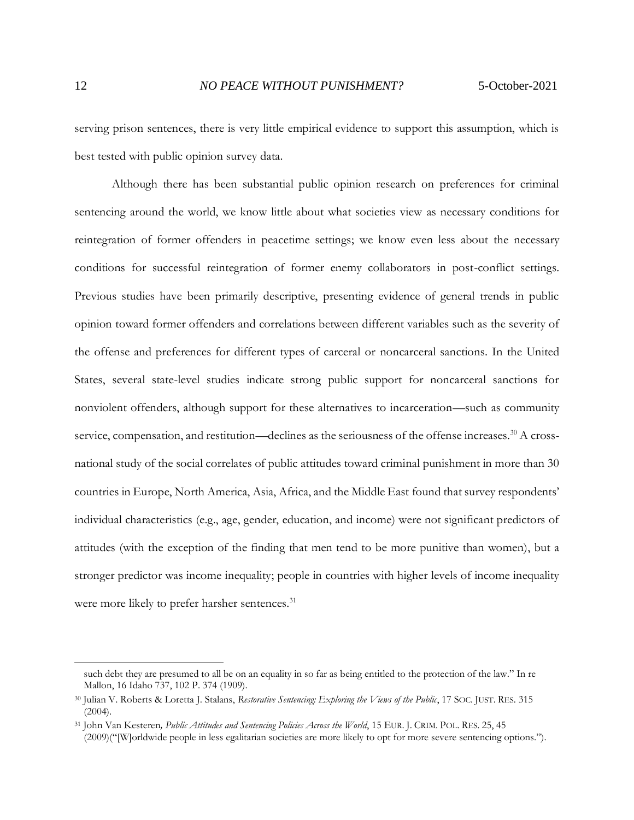serving prison sentences, there is very little empirical evidence to support this assumption, which is best tested with public opinion survey data.

Although there has been substantial public opinion research on preferences for criminal sentencing around the world, we know little about what societies view as necessary conditions for reintegration of former offenders in peacetime settings; we know even less about the necessary conditions for successful reintegration of former enemy collaborators in post-conflict settings. Previous studies have been primarily descriptive, presenting evidence of general trends in public opinion toward former offenders and correlations between different variables such as the severity of the offense and preferences for different types of carceral or noncarceral sanctions. In the United States, several state-level studies indicate strong public support for noncarceral sanctions for nonviolent offenders, although support for these alternatives to incarceration—such as community service, compensation, and restitution—declines as the seriousness of the offense increases.<sup>30</sup> A crossnational study of the social correlates of public attitudes toward criminal punishment in more than 30 countries in Europe, North America, Asia, Africa, and the Middle East found that survey respondents' individual characteristics (e.g., age, gender, education, and income) were not significant predictors of attitudes (with the exception of the finding that men tend to be more punitive than women), but a stronger predictor was income inequality; people in countries with higher levels of income inequality were more likely to prefer harsher sentences.<sup>31</sup>

such debt they are presumed to all be on an equality in so far as being entitled to the protection of the law." In re Mallon, 16 Idaho 737, 102 P. 374 (1909).

<sup>30</sup> Julian V. Roberts & Loretta J. Stalans, *Restorative Sentencing: Exploring the Views of the Public*, 17 SOC. JUST. RES. 315 (2004).

<sup>&</sup>lt;sup>31</sup> John Van Kesteren, Public Attitudes and Sentencing Policies Across the World, 15 EUR. J. CRIM. POL. RES. 25, 45 (2009)("[W]orldwide people in less egalitarian societies are more likely to opt for more severe sentencing options.").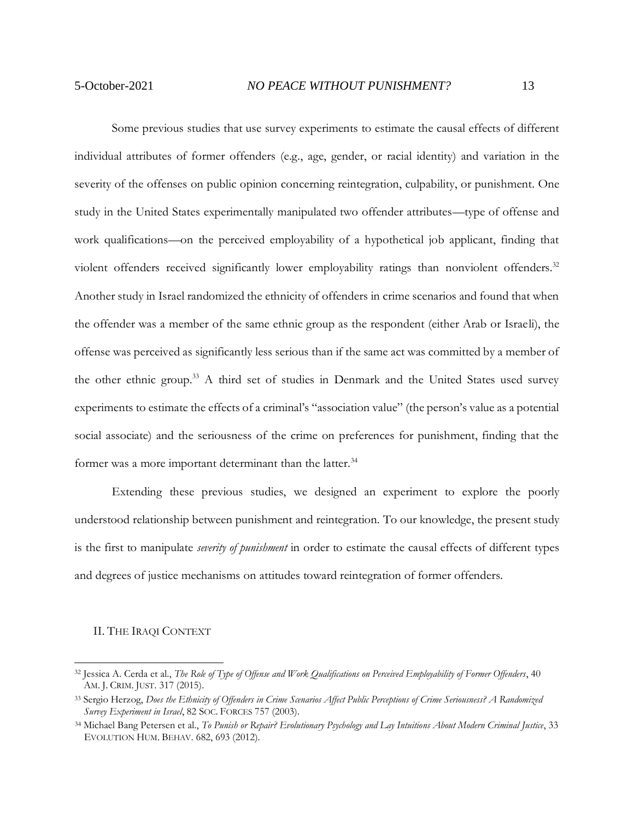Some previous studies that use survey experiments to estimate the causal effects of different individual attributes of former offenders (e.g., age, gender, or racial identity) and variation in the severity of the offenses on public opinion concerning reintegration, culpability, or punishment. One study in the United States experimentally manipulated two offender attributes—type of offense and work qualifications—on the perceived employability of a hypothetical job applicant, finding that violent offenders received significantly lower employability ratings than nonviolent offenders.<sup>32</sup> Another study in Israel randomized the ethnicity of offenders in crime scenarios and found that when the offender was a member of the same ethnic group as the respondent (either Arab or Israeli), the offense was perceived as significantly less serious than if the same act was committed by a member of the other ethnic group.<sup>33</sup> A third set of studies in Denmark and the United States used survey experiments to estimate the effects of a criminal's "association value" (the person's value as a potential social associate) and the seriousness of the crime on preferences for punishment, finding that the former was a more important determinant than the latter.<sup>34</sup>

Extending these previous studies, we designed an experiment to explore the poorly understood relationship between punishment and reintegration. To our knowledge, the present study is the first to manipulate *severity of punishment* in order to estimate the causal effects of different types and degrees of justice mechanisms on attitudes toward reintegration of former offenders.

#### <span id="page-12-0"></span>II. THE IRAQI CONTEXT

<sup>32</sup> Jessica A. Cerda et al., *The Role of Type of Offense and Work Qualifications on Perceived Employability of Former Offenders*, 40 AM. J. CRIM. JUST. 317 (2015).

<sup>33</sup> Sergio Herzog, *Does the Ethnicity of Offenders in Crime Scenarios Affect Public Perceptions of Crime Seriousness? A Randomized Survey Experiment in Israel*, 82 SOC. FORCES 757 (2003).

<sup>34</sup> Michael Bang Petersen et al., *To Punish or Repair? Evolutionary Psychology and Lay Intuitions About Modern Criminal Justice*, 33 EVOLUTION HUM. BEHAV. 682, 693 (2012).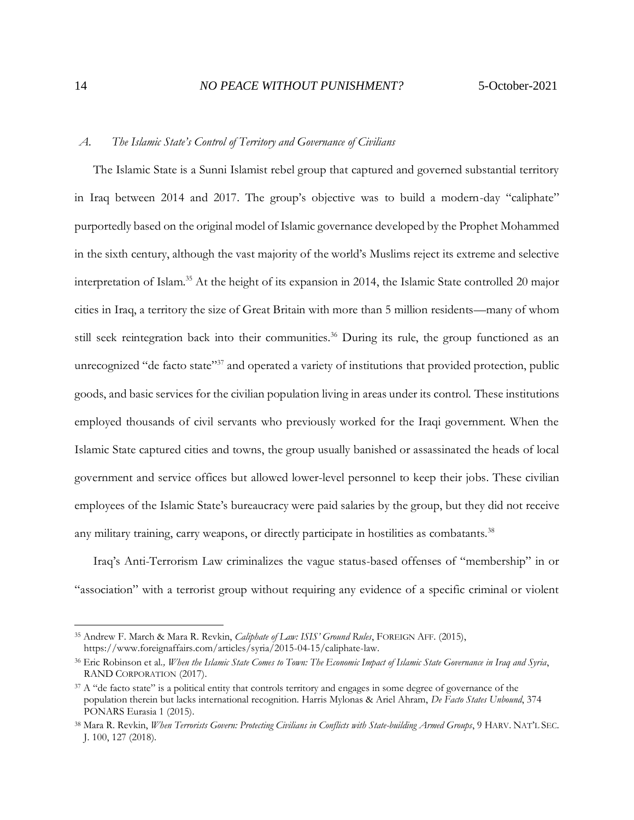# <span id="page-13-0"></span>*A. The Islamic State's Control of Territory and Governance of Civilians*

The Islamic State is a Sunni Islamist rebel group that captured and governed substantial territory in Iraq between 2014 and 2017. The group's objective was to build a modern-day "caliphate" purportedly based on the original model of Islamic governance developed by the Prophet Mohammed in the sixth century, although the vast majority of the world's Muslims reject its extreme and selective interpretation of Islam.<sup>35</sup> At the height of its expansion in 2014, the Islamic State controlled 20 major cities in Iraq, a territory the size of Great Britain with more than 5 million residents—many of whom still seek reintegration back into their communities.<sup>36</sup> During its rule, the group functioned as an unrecognized "de facto state"<sup>37</sup> and operated a variety of institutions that provided protection, public goods, and basic services for the civilian population living in areas under its control. These institutions employed thousands of civil servants who previously worked for the Iraqi government. When the Islamic State captured cities and towns, the group usually banished or assassinated the heads of local government and service offices but allowed lower-level personnel to keep their jobs. These civilian employees of the Islamic State's bureaucracy were paid salaries by the group, but they did not receive any military training, carry weapons, or directly participate in hostilities as combatants.<sup>38</sup>

Iraq's Anti-Terrorism Law criminalizes the vague status-based offenses of "membership" in or "association" with a terrorist group without requiring any evidence of a specific criminal or violent

<sup>35</sup> Andrew F. March & Mara R. Revkin, *Caliphate of Law: ISIS' Ground Rules*, FOREIGN AFF. (2015), https://www.foreignaffairs.com/articles/syria/2015-04-15/caliphate-law.

<sup>36</sup> Eric Robinson et al*., When the Islamic State Comes to Town: The Economic Impact of Islamic State Governance in Iraq and Syria*, RAND CORPORATION (2017).

<sup>&</sup>lt;sup>37</sup> A "de facto state" is a political entity that controls territory and engages in some degree of governance of the population therein but lacks international recognition. Harris Mylonas & Ariel Ahram, *De Facto States Unbound*, 374 PONARS Eurasia 1 (2015).

<sup>38</sup> Mara R. Revkin, *When Terrorists Govern: Protecting Civilians in Conflicts with State-building Armed Groups*, 9 HARV. NAT'L SEC. J. 100, 127 (2018).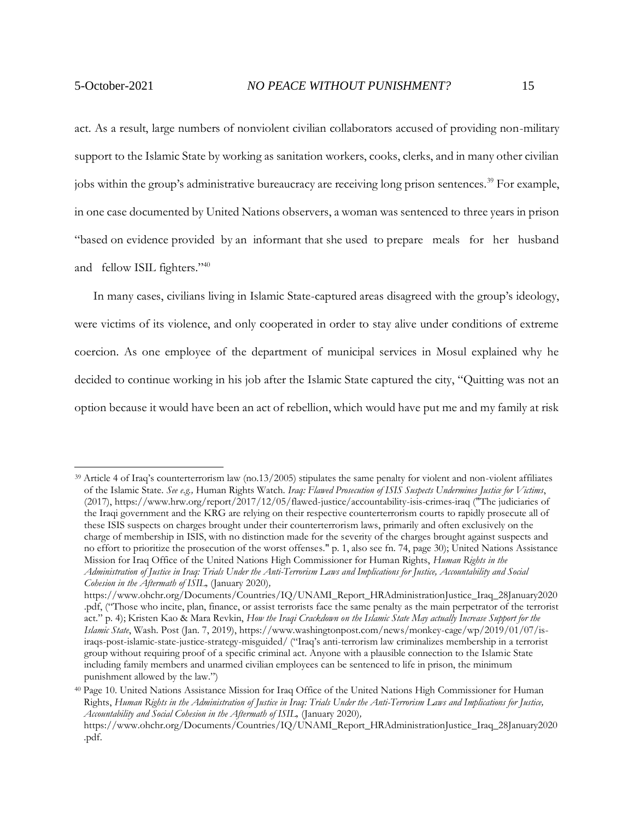act. As a result, large numbers of nonviolent civilian collaborators accused of providing non-military support to the Islamic State by working as sanitation workers, cooks, clerks, and in many other civilian jobs within the group's administrative bureaucracy are receiving long prison sentences.<sup>39</sup> For example, in one case documented by United Nations observers, a woman was sentenced to three years in prison "based on evidence provided by an informant that she used to prepare meals for her husband and fellow ISIL fighters."40

In many cases, civilians living in Islamic State-captured areas disagreed with the group's ideology, were victims of its violence, and only cooperated in order to stay alive under conditions of extreme coercion. As one employee of the department of municipal services in Mosul explained why he decided to continue working in his job after the Islamic State captured the city, "Quitting was not an option because it would have been an act of rebellion, which would have put me and my family at risk

<sup>39</sup> Article 4 of Iraq's counterterrorism law (no.13/2005) stipulates the same penalty for violent and non-violent affiliates of the Islamic State. *See e.g.,* Human Rights Watch. *Iraq: Flawed Prosecution of ISIS Suspects Undermines Justice for Victims*, (2017), https://www.hrw.org/report/2017/12/05/flawed-justice/accountability-isis-crimes-iraq ("The judiciaries of the Iraqi government and the KRG are relying on their respective counterterrorism courts to rapidly prosecute all of these ISIS suspects on charges brought under their counterterrorism laws, primarily and often exclusively on the charge of membership in ISIS, with no distinction made for the severity of the charges brought against suspects and no effort to prioritize the prosecution of the worst offenses." p. 1, also see fn. 74, page 30); United Nations Assistance Mission for Iraq Office of the United Nations High Commissioner for Human Rights, *Human Rights in the Administration of Justice in Iraq: Trials Under the Anti-Terrorism Laws and Implications for Justice, Accountability and Social Cohesion in the Aftermath of ISIL,* (January 2020)*,* 

https://www.ohchr.org/Documents/Countries/IQ/UNAMI\_Report\_HRAdministrationJustice\_Iraq\_28January2020 .pdf, ("Those who incite, plan, finance, or assist terrorists face the same penalty as the main perpetrator of the terrorist act." p. 4); Kristen Kao & Mara Revkin, *How the Iraqi Crackdown on the Islamic State May actually Increase Support for the Islamic State*, Wash. Post (Jan. 7, 2019), https://www.washingtonpost.com/news/monkey-cage/wp/2019/01/07/isiraqs-post-islamic-state-justice-strategy-misguided/ ("Iraq's anti-terrorism law criminalizes membership in a terrorist group without requiring proof of a specific criminal act. Anyone with a plausible connection to the Islamic State including family members and unarmed civilian employees can be sentenced to life in prison, the minimum punishment allowed by the law.")

<sup>40</sup> Page 10. United Nations Assistance Mission for Iraq Office of the United Nations High Commissioner for Human Rights, *Human Rights in the Administration of Justice in Iraq: Trials Under the Anti-Terrorism Laws and Implications for Justice, Accountability and Social Cohesion in the Aftermath of ISIL,* (January 2020)*,* 

https://www.ohchr.org/Documents/Countries/IQ/UNAMI\_Report\_HRAdministrationJustice\_Iraq\_28January2020 .pdf.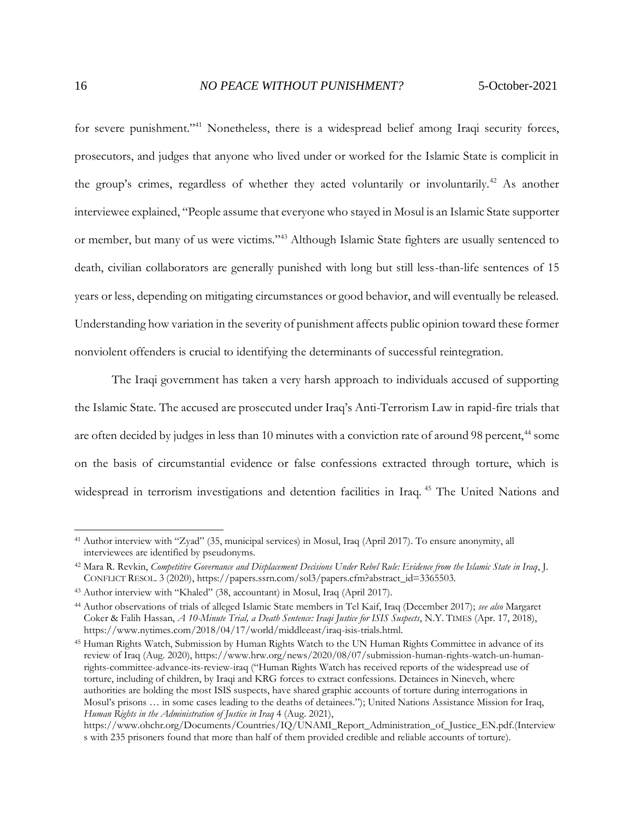for severe punishment."<sup>41</sup> Nonetheless, there is a widespread belief among Iraqi security forces, prosecutors, and judges that anyone who lived under or worked for the Islamic State is complicit in the group's crimes, regardless of whether they acted voluntarily or involuntarily.<sup>42</sup> As another interviewee explained, "People assume that everyone who stayed in Mosul is an Islamic State supporter or member, but many of us were victims."<sup>43</sup> Although Islamic State fighters are usually sentenced to death, civilian collaborators are generally punished with long but still less-than-life sentences of 15 years or less, depending on mitigating circumstances or good behavior, and will eventually be released. Understanding how variation in the severity of punishment affects public opinion toward these former nonviolent offenders is crucial to identifying the determinants of successful reintegration.

The Iraqi government has taken a very harsh approach to individuals accused of supporting the Islamic State. The accused are prosecuted under Iraq's Anti-Terrorism Law in rapid-fire trials that are often decided by judges in less than 10 minutes with a conviction rate of around 98 percent,<sup>44</sup> some on the basis of circumstantial evidence or false confessions extracted through torture, which is widespread in terrorism investigations and detention facilities in Iraq.<sup>45</sup> The United Nations and

<sup>41</sup> Author interview with "Zyad" (35, municipal services) in Mosul, Iraq (April 2017). To ensure anonymity, all interviewees are identified by pseudonyms.

<sup>42</sup> Mara R. Revkin, *Competitive Governance and Displacement Decisions Under Rebel Rule: Evidence from the Islamic State in Iraq*, J. CONFLICT RESOL. 3 (2020), https://papers.ssrn.com/sol3/papers.cfm?abstract\_id=3365503.

<sup>43</sup> Author interview with "Khaled" (38, accountant) in Mosul, Iraq (April 2017).

<sup>44</sup> Author observations of trials of alleged Islamic State members in Tel Kaif, Iraq (December 2017); *see also* Margaret Coker & Falih Hassan, *A 10-Minute Trial, a Death Sentence: Iraqi Justice for ISIS Suspects*, N.Y. TIMES (Apr. 17, 2018), https://www.nytimes.com/2018/04/17/world/middleeast/iraq-isis-trials.html.

<sup>45</sup> Human Rights Watch, Submission by Human Rights Watch to the UN Human Rights Committee in advance of its review of Iraq (Aug. 2020), https://www.hrw.org/news/2020/08/07/submission-human-rights-watch-un-humanrights-committee-advance-its-review-iraq ("Human Rights Watch has received reports of the widespread use of torture, including of children, by Iraqi and KRG forces to extract confessions. Detainees in Nineveh, where authorities are holding the most ISIS suspects, have shared graphic accounts of torture during interrogations in Mosul's prisons … in some cases leading to the deaths of detainees."); United Nations Assistance Mission for Iraq, *Human Rights in the Administration of Justice in Iraq* 4 (Aug. 2021),

https://www.ohchr.org/Documents/Countries/IQ/UNAMI\_Report\_Administration\_of\_Justice\_EN.pdf.(Interview s with 235 prisoners found that more than half of them provided credible and reliable accounts of torture).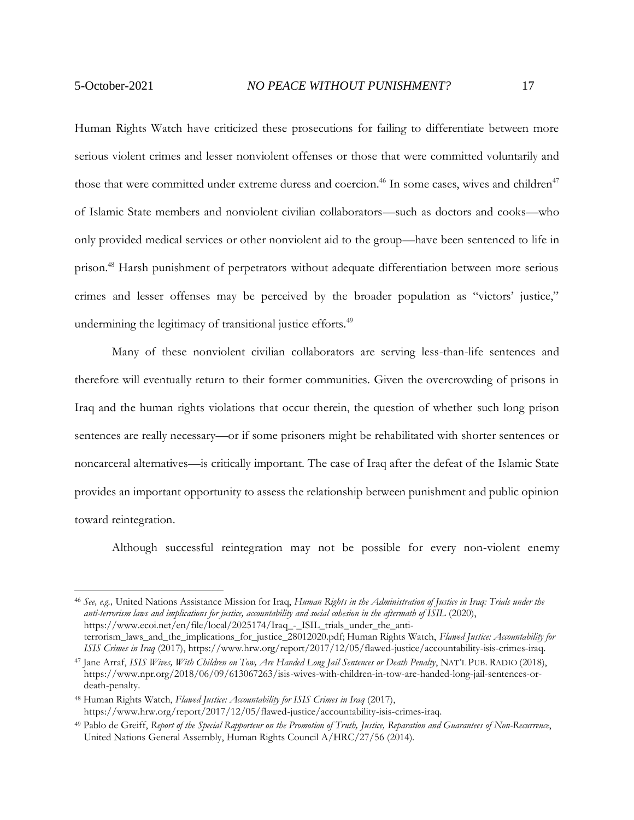Human Rights Watch have criticized these prosecutions for failing to differentiate between more serious violent crimes and lesser nonviolent offenses or those that were committed voluntarily and those that were committed under extreme duress and coercion.<sup>46</sup> In some cases, wives and children<sup>47</sup> of Islamic State members and nonviolent civilian collaborators—such as doctors and cooks—who only provided medical services or other nonviolent aid to the group—have been sentenced to life in prison.<sup>48</sup> Harsh punishment of perpetrators without adequate differentiation between more serious crimes and lesser offenses may be perceived by the broader population as "victors' justice," undermining the legitimacy of transitional justice efforts.<sup>49</sup>

Many of these nonviolent civilian collaborators are serving less-than-life sentences and therefore will eventually return to their former communities. Given the overcrowding of prisons in Iraq and the human rights violations that occur therein, the question of whether such long prison sentences are really necessary—or if some prisoners might be rehabilitated with shorter sentences or noncarceral alternatives—is critically important. The case of Iraq after the defeat of the Islamic State provides an important opportunity to assess the relationship between punishment and public opinion toward reintegration.

Although successful reintegration may not be possible for every non-violent enemy

<sup>46</sup> *See, e.g.,* United Nations Assistance Mission for Iraq, *Human Rights in the Administration of Justice in Iraq: Trials under the anti-terrorism laws and implications for justice, accountability and social cohesion in the aftermath of ISIL* (2020), https://www.ecoi.net/en/file/local/2025174/Iraq\_-\_ISIL\_trials\_under\_the\_antiterrorism\_laws\_and\_the\_implications\_for\_justice\_28012020.pdf; Human Rights Watch, *Flawed Justice: Accountability for ISIS Crimes in Iraq* (2017), https://www.hrw.org/report/2017/12/05/flawed-justice/accountability-isis-crimes-iraq.

<sup>47</sup> Jane Arraf, *ISIS Wives, With Children on Tow, Are Handed Long Jail Sentences or Death Penalty*, NAT'L PUB. RADIO (2018), https://www.npr.org/2018/06/09/613067263/isis-wives-with-children-in-tow-are-handed-long-jail-sentences-ordeath-penalty.

<sup>48</sup> Human Rights Watch, *Flawed Justice: Accountability for ISIS Crimes in Iraq* (2017), https://www.hrw.org/report/2017/12/05/flawed-justice/accountability-isis-crimes-iraq.

<sup>49</sup> Pablo de Greiff, *Report of the Special Rapporteur on the Promotion of Truth, Justice, Reparation and Guarantees of Non-Recurrence*, United Nations General Assembly, Human Rights Council A/HRC/27/56 (2014).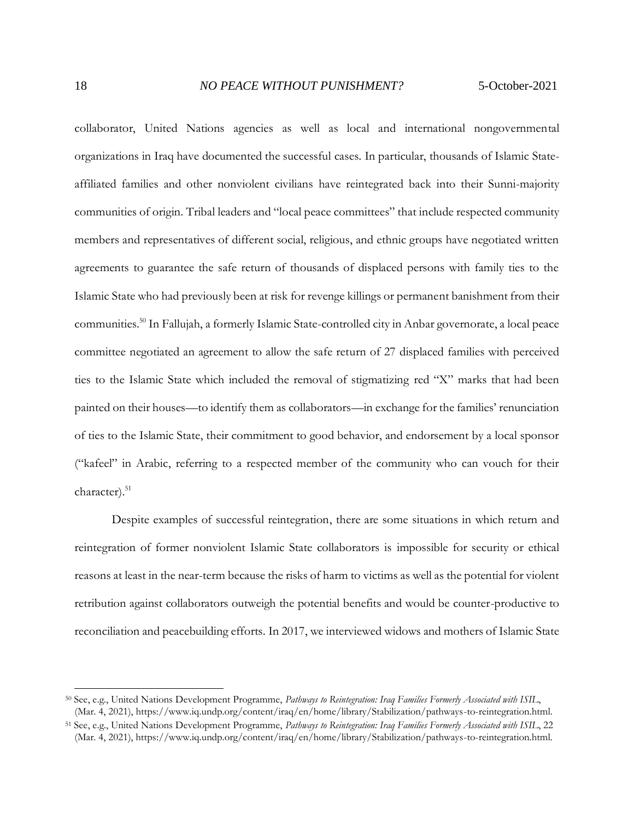collaborator, United Nations agencies as well as local and international nongovernmental organizations in Iraq have documented the successful cases. In particular, thousands of Islamic Stateaffiliated families and other nonviolent civilians have reintegrated back into their Sunni-majority communities of origin. Tribal leaders and "local peace committees" that include respected community members and representatives of different social, religious, and ethnic groups have negotiated written agreements to guarantee the safe return of thousands of displaced persons with family ties to the Islamic State who had previously been at risk for revenge killings or permanent banishment from their communities.<sup>50</sup> In Fallujah, a formerly Islamic State-controlled city in Anbar governorate, a local peace committee negotiated an agreement to allow the safe return of 27 displaced families with perceived ties to the Islamic State which included the removal of stigmatizing red "X" marks that had been painted on their houses—to identify them as collaborators—in exchange for the families' renunciation of ties to the Islamic State, their commitment to good behavior, and endorsement by a local sponsor ("kafeel" in Arabic, referring to a respected member of the community who can vouch for their character). 51

Despite examples of successful reintegration, there are some situations in which return and reintegration of former nonviolent Islamic State collaborators is impossible for security or ethical reasons at least in the near-term because the risks of harm to victims as well as the potential for violent retribution against collaborators outweigh the potential benefits and would be counter-productive to reconciliation and peacebuilding efforts. In 2017, we interviewed widows and mothers of Islamic State

<sup>50</sup> See, e.g., United Nations Development Programme, *Pathways to Reintegration: Iraq Families Formerly Associated with ISIL*, (Mar. 4, 2021), https://www.iq.undp.org/content/iraq/en/home/library/Stabilization/pathways-to-reintegration.html.

<sup>51</sup> See, e.g., United Nations Development Programme, *Pathways to Reintegration: Iraq Families Formerly Associated with ISIL*, 22 (Mar. 4, 2021), https://www.iq.undp.org/content/iraq/en/home/library/Stabilization/pathways-to-reintegration.html.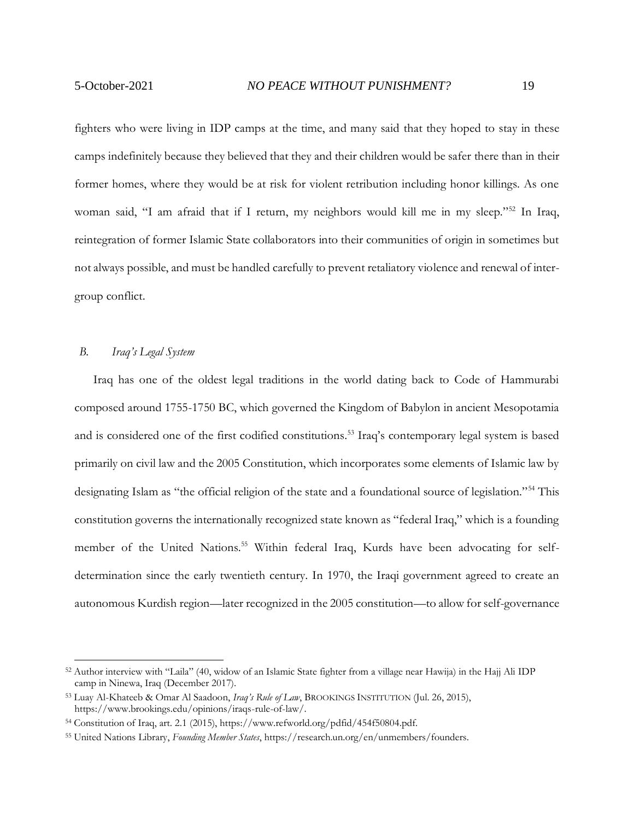fighters who were living in IDP camps at the time, and many said that they hoped to stay in these camps indefinitely because they believed that they and their children would be safer there than in their former homes, where they would be at risk for violent retribution including honor killings. As one woman said, "I am afraid that if I return, my neighbors would kill me in my sleep."<sup>52</sup> In Iraq, reintegration of former Islamic State collaborators into their communities of origin in sometimes but not always possible, and must be handled carefully to prevent retaliatory violence and renewal of intergroup conflict.

#### <span id="page-18-0"></span>*B. Iraq's Legal System*

Iraq has one of the oldest legal traditions in the world dating back to Code of Hammurabi composed around 1755-1750 BC, which governed the Kingdom of Babylon in ancient Mesopotamia and is considered one of the first codified constitutions.<sup>53</sup> Iraq's contemporary legal system is based primarily on civil law and the 2005 Constitution, which incorporates some elements of Islamic law by designating Islam as "the official religion of the state and a foundational source of legislation."<sup>54</sup> This constitution governs the internationally recognized state known as "federal Iraq," which is a founding member of the United Nations.<sup>55</sup> Within federal Iraq, Kurds have been advocating for selfdetermination since the early twentieth century. In 1970, the Iraqi government agreed to create an autonomous Kurdish region—later recognized in the 2005 constitution—to allow for self-governance

<sup>52</sup> Author interview with "Laila" (40, widow of an Islamic State fighter from a village near Hawija) in the Hajj Ali IDP camp in Ninewa, Iraq (December 2017).

<sup>53</sup> Luay Al-Khateeb & Omar Al Saadoon, *Iraq's Rule of Law*, BROOKINGS INSTITUTION (Jul. 26, 2015), https://www.brookings.edu/opinions/iraqs-rule-of-law/.

<sup>54</sup> Constitution of Iraq, art. 2.1 (2015), https://www.refworld.org/pdfid/454f50804.pdf.

<sup>55</sup> United Nations Library, *Founding Member States*, https://research.un.org/en/unmembers/founders.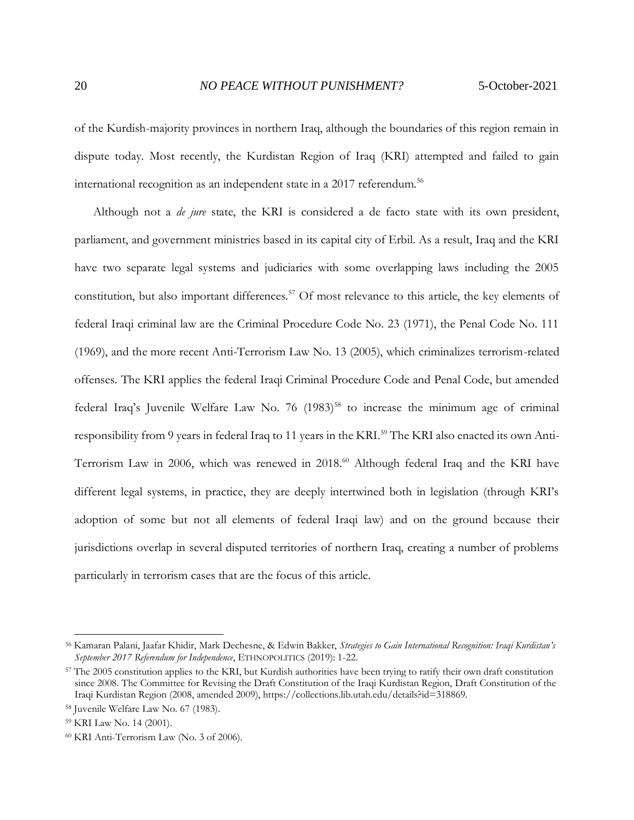of the Kurdish-majority provinces in northern Iraq, although the boundaries of this region remain in dispute today. Most recently, the Kurdistan Region of Iraq (KRI) attempted and failed to gain international recognition as an independent state in a 2017 referendum.<sup>56</sup>

Although not a *de jure* state, the KRI is considered a de facto state with its own president, parliament, and government ministries based in its capital city of Erbil. As a result, Iraq and the KRI have two separate legal systems and judiciaries with some overlapping laws including the 2005 constitution, but also important differences.<sup>57</sup> Of most relevance to this article, the key elements of federal Iraqi criminal law are the Criminal Procedure Code No. 23 (1971), the Penal Code No. 111 (1969), and the more recent Anti-Terrorism Law No. 13 (2005), which criminalizes terrorism-related offenses. The KRI applies the federal Iraqi Criminal Procedure Code and Penal Code, but amended federal Iraq's Juvenile Welfare Law No. 76 (1983)<sup>58</sup> to increase the minimum age of criminal responsibility from 9 years in federal Iraq to 11 years in the KRI.<sup>59</sup> The KRI also enacted its own Anti-Terrorism Law in 2006, which was renewed in 2018.<sup>60</sup> Although federal Iraq and the KRI have different legal systems, in practice, they are deeply intertwined both in legislation (through KRI's adoption of some but not all elements of federal Iraqi law) and on the ground because their jurisdictions overlap in several disputed territories of northern Iraq, creating a number of problems particularly in terrorism cases that are the focus of this article.

<sup>56</sup> Kamaran Palani, Jaafar Khidir, Mark Dechesne, & Edwin Bakker, *Strategies to Gain International Recognition: Iraqi Kurdistan's September 2017 Referendum for Independence*, ETHNOPOLITICS (2019): 1-22.

<sup>&</sup>lt;sup>57</sup> The 2005 constitution applies to the KRI, but Kurdish authorities have been trying to ratify their own draft constitution since 2008. The Committee for Revising the Draft Constitution of the Iraqi Kurdistan Region, Draft Constitution of the Iraqi Kurdistan Region (2008, amended 2009), https://collections.lib.utah.edu/details?id=318869.

<sup>58</sup> Juvenile Welfare Law No. 67 (1983).

<sup>59</sup> KRI Law No. 14 (2001).

<sup>60</sup> KRI Anti-Terrorism Law (No. 3 of 2006).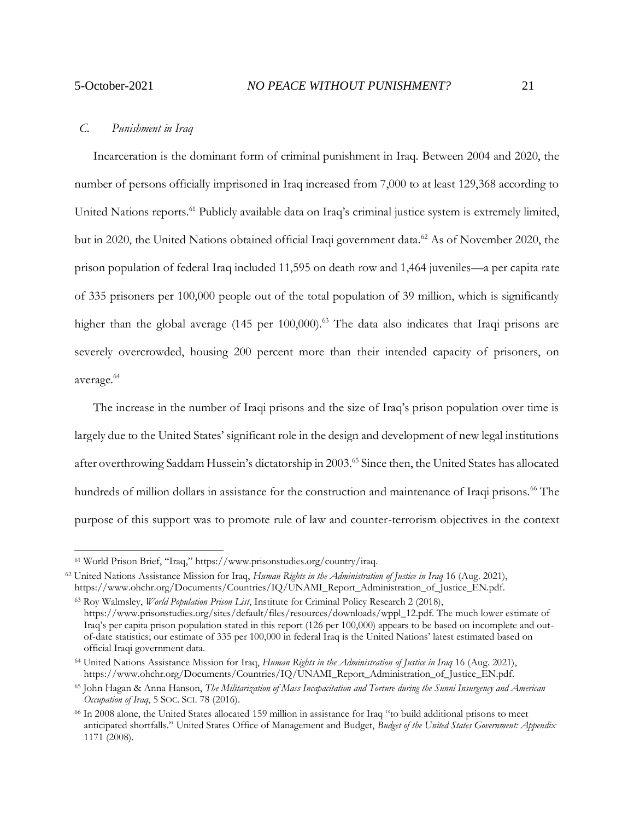#### <span id="page-20-0"></span>*C. Punishment in Iraq*

Incarceration is the dominant form of criminal punishment in Iraq. Between 2004 and 2020, the number of persons officially imprisoned in Iraq increased from 7,000 to at least 129,368 according to United Nations reports.<sup>61</sup> Publicly available data on Iraq's criminal justice system is extremely limited, but in 2020, the United Nations obtained official Iraqi government data.<sup>62</sup> As of November 2020, the prison population of federal Iraq included 11,595 on death row and 1,464 juveniles—a per capita rate of 335 prisoners per 100,000 people out of the total population of 39 million, which is significantly higher than the global average (145 per 100,000).<sup>63</sup> The data also indicates that Iraqi prisons are severely overcrowded, housing 200 percent more than their intended capacity of prisoners, on average.<sup>64</sup>

The increase in the number of Iraqi prisons and the size of Iraq's prison population over time is largely due to the United States' significant role in the design and development of new legal institutions after overthrowing Saddam Hussein's dictatorship in 2003.<sup>65</sup> Since then, the United States has allocated hundreds of million dollars in assistance for the construction and maintenance of Iraqi prisons.<sup>66</sup> The purpose of this support was to promote rule of law and counter-terrorism objectives in the context

<sup>61</sup> World Prison Brief, "Iraq," https://www.prisonstudies.org/country/iraq.

<sup>62</sup> United Nations Assistance Mission for Iraq, *Human Rights in the Administration of Justice in Iraq* 16 (Aug. 2021), https://www.ohchr.org/Documents/Countries/IQ/UNAMI\_Report\_Administration\_of\_Justice\_EN.pdf.

<sup>63</sup> Roy Walmsley, *World Population Prison List*, Institute for Criminal Policy Research 2 (2018), https://www.prisonstudies.org/sites/default/files/resources/downloads/wppl\_12.pdf. The much lower estimate of Iraq's per capita prison population stated in this report (126 per 100,000) appears to be based on incomplete and outof-date statistics; our estimate of 335 per 100,000 in federal Iraq is the United Nations' latest estimated based on official Iraqi government data.

<sup>64</sup> United Nations Assistance Mission for Iraq, *Human Rights in the Administration of Justice in Iraq* 16 (Aug. 2021), https://www.ohchr.org/Documents/Countries/IQ/UNAMI\_Report\_Administration\_of\_Justice\_EN.pdf.

<sup>65</sup> John Hagan & Anna Hanson, *The Militarization of Mass Incapacitation and Torture during the Sunni Insurgency and American Occupation of Iraq*, 5 SOC. SCI. 78 (2016).

<sup>66</sup> In 2008 alone, the United States allocated 159 million in assistance for Iraq "to build additional prisons to meet anticipated shortfalls." United States Office of Management and Budget, *Budget of the United States Government: Appendix* 1171 (2008).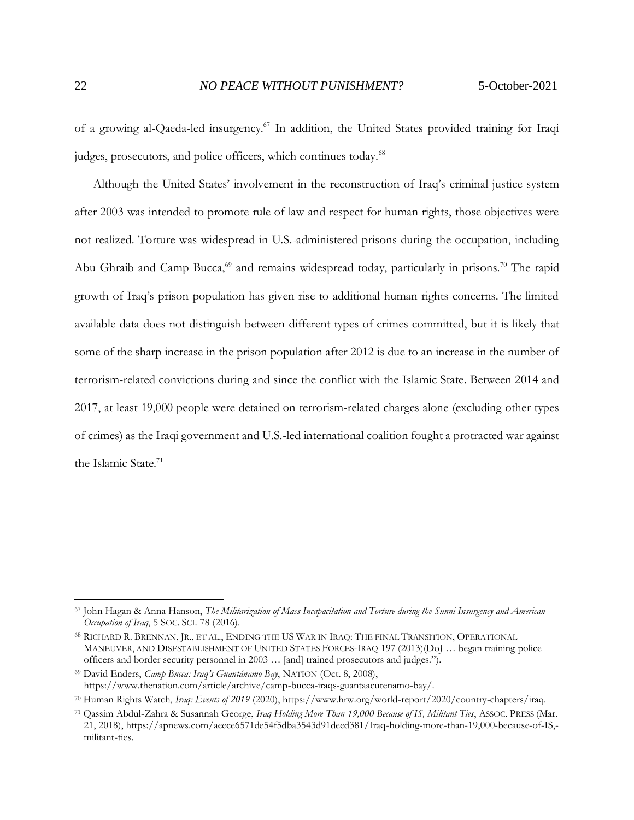of a growing al-Qaeda-led insurgency.<sup>67</sup> In addition, the United States provided training for Iraqi judges, prosecutors, and police officers, which continues today.<sup>68</sup>

Although the United States' involvement in the reconstruction of Iraq's criminal justice system after 2003 was intended to promote rule of law and respect for human rights, those objectives were not realized. Torture was widespread in U.S.-administered prisons during the occupation, including Abu Ghraib and Camp Bucca,<sup>69</sup> and remains widespread today, particularly in prisons.<sup>70</sup> The rapid growth of Iraq's prison population has given rise to additional human rights concerns. The limited available data does not distinguish between different types of crimes committed, but it is likely that some of the sharp increase in the prison population after 2012 is due to an increase in the number of terrorism-related convictions during and since the conflict with the Islamic State. Between 2014 and 2017, at least 19,000 people were detained on terrorism-related charges alone (excluding other types of crimes) as the Iraqi government and U.S.-led international coalition fought a protracted war against the Islamic State.<sup>71</sup>

<sup>67</sup> John Hagan & Anna Hanson, *The Militarization of Mass Incapacitation and Torture during the Sunni Insurgency and American Occupation of Iraq*, 5 SOC. SCI. 78 (2016).

<sup>68</sup> RICHARD R. BRENNAN, JR., ET AL., ENDING THE US WAR IN IRAQ: THE FINAL TRANSITION, OPERATIONAL MANEUVER, AND DISESTABLISHMENT OF UNITED STATES FORCES-IRAQ 197 (2013)(DoJ … began training police officers and border security personnel in 2003 … [and] trained prosecutors and judges.").

<sup>69</sup> David Enders, *Camp Bucca: Iraq's Guantánamo Bay*, NATION (Oct. 8, 2008), https://www.thenation.com/article/archive/camp-bucca-iraqs-guantaacutenamo-bay/.

<sup>70</sup> Human Rights Watch, *Iraq: Events of 2019* (2020), https://www.hrw.org/world-report/2020/country-chapters/iraq.

<sup>71</sup> Qassim Abdul-Zahra & Susannah George, *Iraq Holding More Than 19,000 Because of IS, Militant Ties*, ASSOC. PRESS (Mar. 21, 2018), https://apnews.com/aeece6571de54f5dba3543d91deed381/Iraq-holding-more-than-19,000-because-of-IS, militant-ties.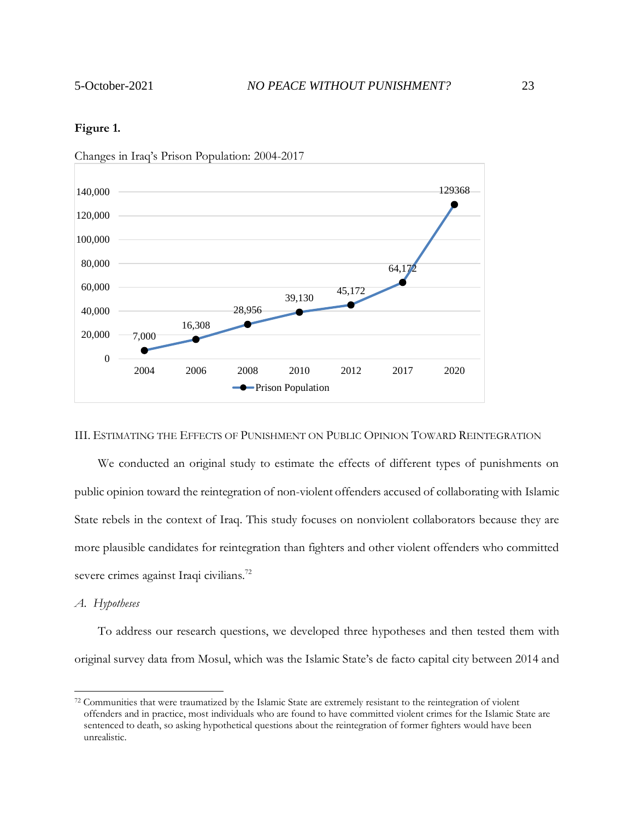## **Figure 1.**



Changes in Iraq's Prison Population: 2004-2017

#### <span id="page-22-0"></span>III. ESTIMATING THE EFFECTS OF PUNISHMENT ON PUBLIC OPINION TOWARD REINTEGRATION

We conducted an original study to estimate the effects of different types of punishments on public opinion toward the reintegration of non-violent offenders accused of collaborating with Islamic State rebels in the context of Iraq. This study focuses on nonviolent collaborators because they are more plausible candidates for reintegration than fighters and other violent offenders who committed severe crimes against Iraqi civilians.<sup>72</sup>

# <span id="page-22-1"></span>*A. Hypotheses*

To address our research questions, we developed three hypotheses and then tested them with original survey data from Mosul, which was the Islamic State's de facto capital city between 2014 and

<sup>72</sup> Communities that were traumatized by the Islamic State are extremely resistant to the reintegration of violent offenders and in practice, most individuals who are found to have committed violent crimes for the Islamic State are sentenced to death, so asking hypothetical questions about the reintegration of former fighters would have been unrealistic.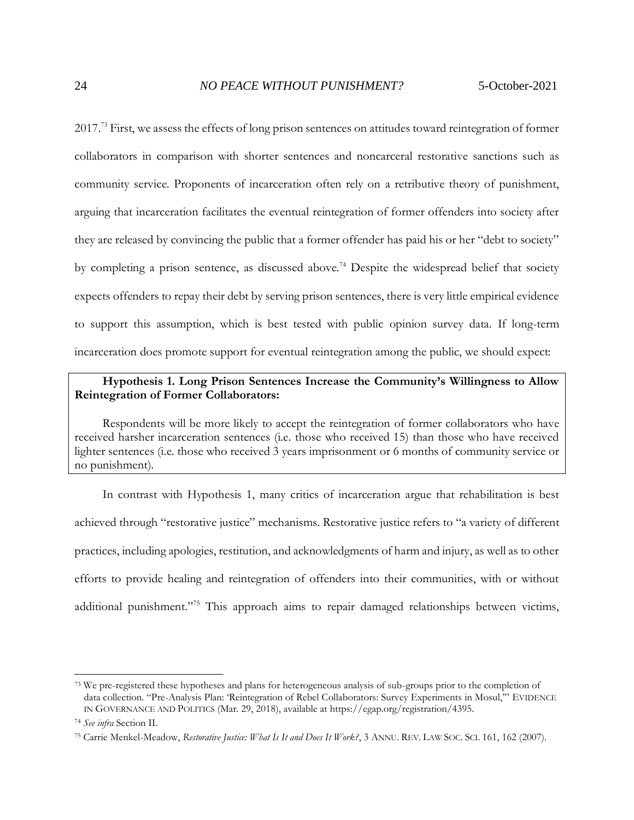2017.<sup>73</sup> First, we assess the effects of long prison sentences on attitudes toward reintegration of former collaborators in comparison with shorter sentences and noncarceral restorative sanctions such as community service. Proponents of incarceration often rely on a retributive theory of punishment, arguing that incarceration facilitates the eventual reintegration of former offenders into society after they are released by convincing the public that a former offender has paid his or her "debt to society" by completing a prison sentence, as discussed above.<sup>74</sup> Despite the widespread belief that society expects offenders to repay their debt by serving prison sentences, there is very little empirical evidence to support this assumption, which is best tested with public opinion survey data. If long-term incarceration does promote support for eventual reintegration among the public, we should expect:

# **Hypothesis 1. Long Prison Sentences Increase the Community's Willingness to Allow Reintegration of Former Collaborators:**

Respondents will be more likely to accept the reintegration of former collaborators who have received harsher incarceration sentences (i.e. those who received 15) than those who have received lighter sentences (i.e. those who received 3 years imprisonment or 6 months of community service or no punishment).

In contrast with Hypothesis 1, many critics of incarceration argue that rehabilitation is best achieved through "restorative justice" mechanisms. Restorative justice refers to "a variety of different practices, including apologies, restitution, and acknowledgments of harm and injury, as well as to other efforts to provide healing and reintegration of offenders into their communities, with or without additional punishment."<sup>75</sup> This approach aims to repair damaged relationships between victims,

<sup>&</sup>lt;sup>73</sup> We pre-registered these hypotheses and plans for heterogeneous analysis of sub-groups prior to the completion of data collection. "Pre-Analysis Plan: 'Reintegration of Rebel Collaborators: Survey Experiments in Mosul,'" EVIDENCE IN GOVERNANCE AND POLITICS (Mar. 29, 2018), available at https://egap.org/registration/4395.

<sup>74</sup> *See infra* Section II.

<sup>75</sup> Carrie Menkel-Meadow, *Restorative Justice: What Is It and Does It Work?*, 3 ANNU. REV. LAW SOC. SCI. 161, 162 (2007).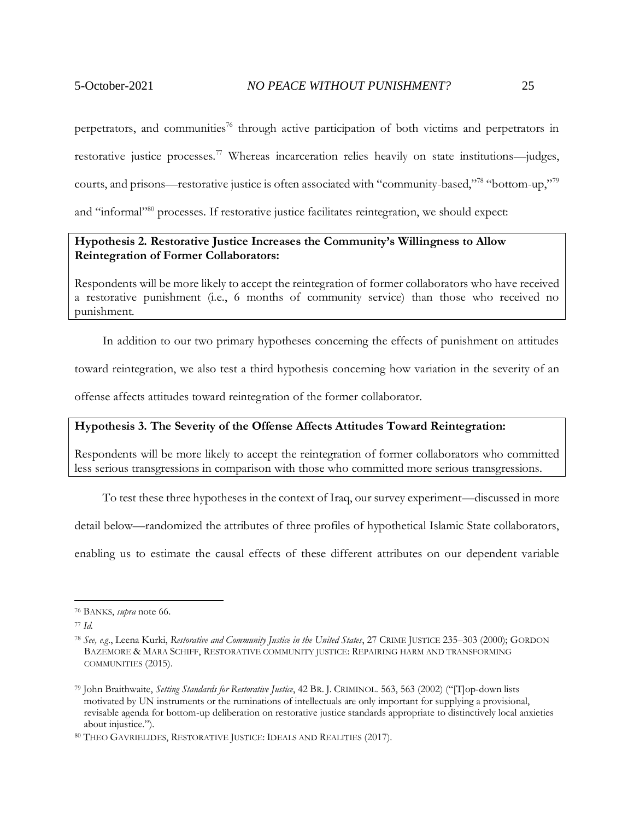perpetrators, and communities<sup>76</sup> through active participation of both victims and perpetrators in restorative justice processes.<sup>77</sup> Whereas incarceration relies heavily on state institutions—judges, courts, and prisons—restorative justice is often associated with "community-based,"<sup>78</sup> "bottom-up,"<sup>79</sup> and "informal"<sup>80</sup> processes. If restorative justice facilitates reintegration, we should expect:

# **Hypothesis 2. Restorative Justice Increases the Community's Willingness to Allow Reintegration of Former Collaborators:**

Respondents will be more likely to accept the reintegration of former collaborators who have received a restorative punishment (i.e., 6 months of community service) than those who received no punishment.

In addition to our two primary hypotheses concerning the effects of punishment on attitudes

toward reintegration, we also test a third hypothesis concerning how variation in the severity of an

offense affects attitudes toward reintegration of the former collaborator.

# **Hypothesis 3. The Severity of the Offense Affects Attitudes Toward Reintegration:**

Respondents will be more likely to accept the reintegration of former collaborators who committed less serious transgressions in comparison with those who committed more serious transgressions.

To test these three hypotheses in the context of Iraq, our survey experiment—discussed in more

detail below—randomized the attributes of three profiles of hypothetical Islamic State collaborators,

enabling us to estimate the causal effects of these different attributes on our dependent variable

<sup>76</sup> BANKS, *supra* note 66.

<sup>77</sup> *Id.*

<sup>78</sup> *See, e.g*., Leena Kurki, *Restorative and Community Justice in the United States*, 27 CRIME JUSTICE 235–303 (2000); GORDON BAZEMORE & MARA SCHIFF, RESTORATIVE COMMUNITY JUSTICE: REPAIRING HARM AND TRANSFORMING COMMUNITIES (2015).

<sup>79</sup> John Braithwaite, *Setting Standards for Restorative Justice*, 42 BR. J. CRIMINOL. 563, 563 (2002) ("[T]op-down lists motivated by UN instruments or the ruminations of intellectuals are only important for supplying a provisional, revisable agenda for bottom-up deliberation on restorative justice standards appropriate to distinctively local anxieties about injustice.").

<sup>80</sup> THEO GAVRIELIDES, RESTORATIVE JUSTICE: IDEALS AND REALITIES (2017).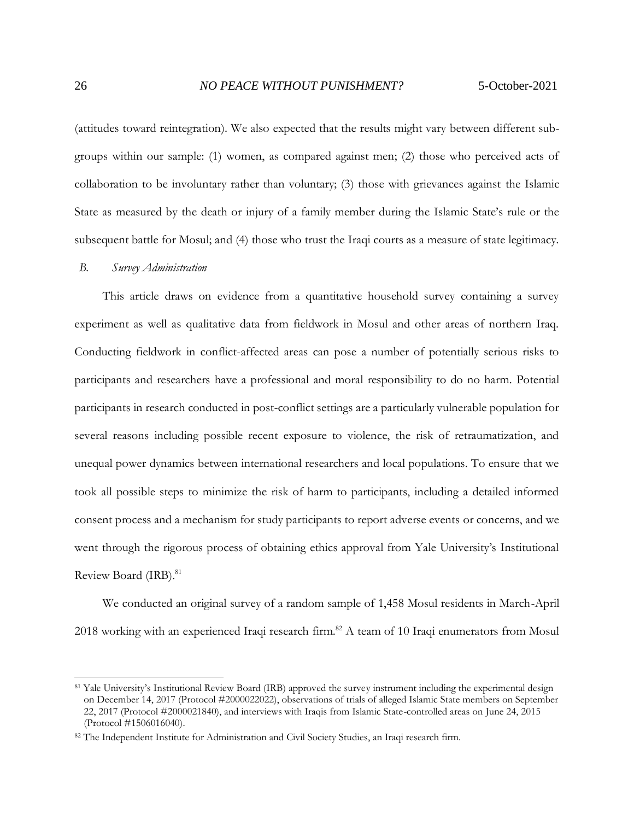(attitudes toward reintegration). We also expected that the results might vary between different subgroups within our sample: (1) women, as compared against men; (2) those who perceived acts of collaboration to be involuntary rather than voluntary; (3) those with grievances against the Islamic State as measured by the death or injury of a family member during the Islamic State's rule or the subsequent battle for Mosul; and (4) those who trust the Iraqi courts as a measure of state legitimacy.

#### <span id="page-25-0"></span>*B. Survey Administration*

This article draws on evidence from a quantitative household survey containing a survey experiment as well as qualitative data from fieldwork in Mosul and other areas of northern Iraq. Conducting fieldwork in conflict-affected areas can pose a number of potentially serious risks to participants and researchers have a professional and moral responsibility to do no harm. Potential participants in research conducted in post-conflict settings are a particularly vulnerable population for several reasons including possible recent exposure to violence, the risk of retraumatization, and unequal power dynamics between international researchers and local populations. To ensure that we took all possible steps to minimize the risk of harm to participants, including a detailed informed consent process and a mechanism for study participants to report adverse events or concerns, and we went through the rigorous process of obtaining ethics approval from Yale University's Institutional Review Board (IRB).<sup>81</sup>

We conducted an original survey of a random sample of 1,458 Mosul residents in March-April 2018 working with an experienced Iraqi research firm.<sup>82</sup> A team of 10 Iraqi enumerators from Mosul

<sup>&</sup>lt;sup>81</sup> Yale University's Institutional Review Board (IRB) approved the survey instrument including the experimental design on December 14, 2017 (Protocol #2000022022), observations of trials of alleged Islamic State members on September 22, 2017 (Protocol #2000021840), and interviews with Iraqis from Islamic State-controlled areas on June 24, 2015 (Protocol #1506016040).

<sup>82</sup> The Independent Institute for Administration and Civil Society Studies, an Iraqi research firm.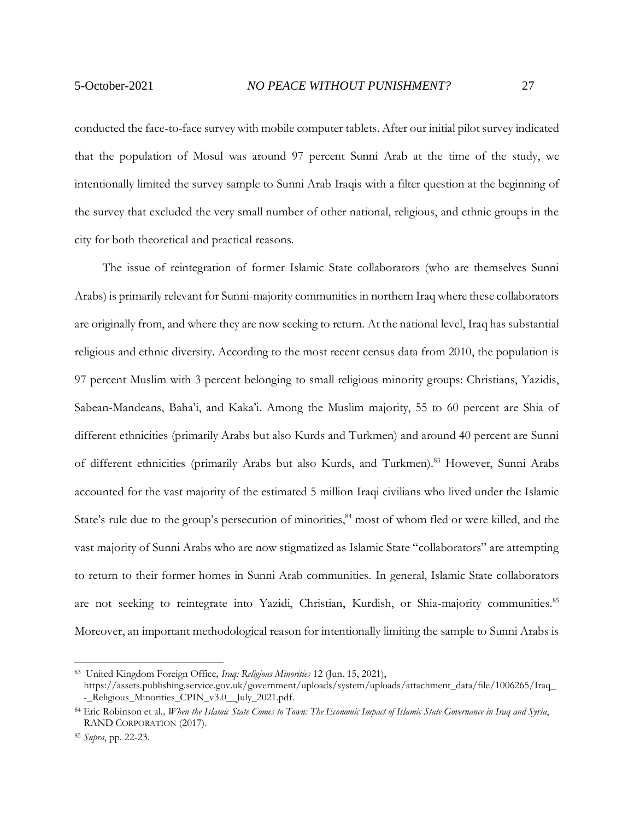conducted the face-to-face survey with mobile computer tablets. After our initial pilot survey indicated that the population of Mosul was around 97 percent Sunni Arab at the time of the study, we intentionally limited the survey sample to Sunni Arab Iraqis with a filter question at the beginning of the survey that excluded the very small number of other national, religious, and ethnic groups in the city for both theoretical and practical reasons.

The issue of reintegration of former Islamic State collaborators (who are themselves Sunni Arabs) is primarily relevant for Sunni-majority communities in northern Iraq where these collaborators are originally from, and where they are now seeking to return. At the national level, Iraq has substantial religious and ethnic diversity. According to the most recent census data from 2010, the population is 97 percent Muslim with 3 percent belonging to small religious minority groups: Christians, Yazidis, Sabean-Mandeans, Baha'i, and Kaka'i. Among the Muslim majority, 55 to 60 percent are Shia of different ethnicities (primarily Arabs but also Kurds and Turkmen) and around 40 percent are Sunni of different ethnicities (primarily Arabs but also Kurds, and Turkmen).<sup>83</sup> However, Sunni Arabs accounted for the vast majority of the estimated 5 million Iraqi civilians who lived under the Islamic State's rule due to the group's persecution of minorities,<sup>84</sup> most of whom fled or were killed, and the vast majority of Sunni Arabs who are now stigmatized as Islamic State "collaborators" are attempting to return to their former homes in Sunni Arab communities. In general, Islamic State collaborators are not seeking to reintegrate into Yazidi, Christian, Kurdish, or Shia-majority communities.<sup>85</sup> Moreover, an important methodological reason for intentionally limiting the sample to Sunni Arabs is

<sup>83</sup> United Kingdom Foreign Office, *Iraq: Religious Minorities* 12 (Jun. 15, 2021),

https://assets.publishing.service.gov.uk/government/uploads/system/uploads/attachment\_data/file/1006265/Iraq\_ - Religious Minorities CPIN v3.0 July 2021.pdf.

<sup>84</sup> Eric Robinson et al*., When the Islamic State Comes to Town: The Economic Impact of Islamic State Governance in Iraq and Syria*, RAND CORPORATION (2017).

<sup>85</sup> *Supra*, pp. 22-23.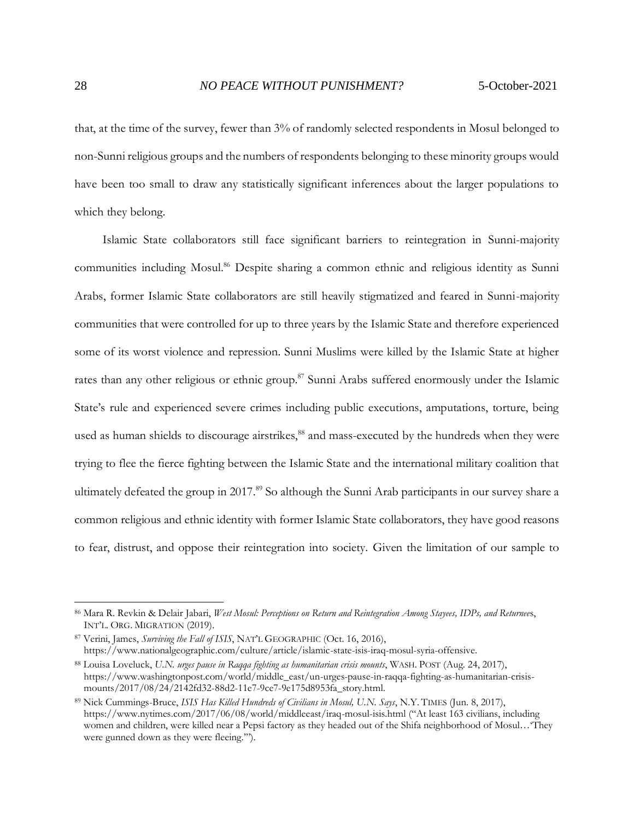that, at the time of the survey, fewer than 3% of randomly selected respondents in Mosul belonged to non-Sunni religious groups and the numbers of respondents belonging to these minority groups would have been too small to draw any statistically significant inferences about the larger populations to which they belong.

Islamic State collaborators still face significant barriers to reintegration in Sunni-majority communities including Mosul. <sup>86</sup> Despite sharing a common ethnic and religious identity as Sunni Arabs, former Islamic State collaborators are still heavily stigmatized and feared in Sunni-majority communities that were controlled for up to three years by the Islamic State and therefore experienced some of its worst violence and repression. Sunni Muslims were killed by the Islamic State at higher rates than any other religious or ethnic group.<sup>87</sup> Sunni Arabs suffered enormously under the Islamic State's rule and experienced severe crimes including public executions, amputations, torture, being used as human shields to discourage airstrikes,<sup>88</sup> and mass-executed by the hundreds when they were trying to flee the fierce fighting between the Islamic State and the international military coalition that ultimately defeated the group in 2017.<sup>89</sup> So although the Sunni Arab participants in our survey share a common religious and ethnic identity with former Islamic State collaborators, they have good reasons to fear, distrust, and oppose their reintegration into society. Given the limitation of our sample to

<sup>86</sup> Mara R. Revkin & Delair Jabari, *West Mosul: Perceptions on Return and Reintegration Among Stayees, IDPs, and Returnee*s, INT'L. ORG. MIGRATION (2019).

<sup>87</sup> Verini, James, *Surviving the Fall of ISIS*, NAT'L GEOGRAPHIC (Oct. 16, 2016), https://www.nationalgeographic.com/culture/article/islamic-state-isis-iraq-mosul-syria-offensive.

<sup>88</sup> Louisa Loveluck, *U.N. urges pause in Raqqa fighting as humanitarian crisis mounts*, WASH. POST (Aug. 24, 2017), https://www.washingtonpost.com/world/middle\_east/un-urges-pause-in-raqqa-fighting-as-humanitarian-crisismounts/2017/08/24/2142fd32-88d2-11e7-9ce7-9e175d8953fa\_story.html.

<sup>89</sup> Nick Cummings-Bruce, *ISIS Has Killed Hundreds of Civilians in Mosul, U.N. Says*, N.Y. TIMES (Jun. 8, 2017), https://www.nytimes.com/2017/06/08/world/middleeast/iraq-mosul-isis.html ("At least 163 civilians, including women and children, were killed near a Pepsi factory as they headed out of the Shifa neighborhood of Mosul…'They were gunned down as they were fleeing."").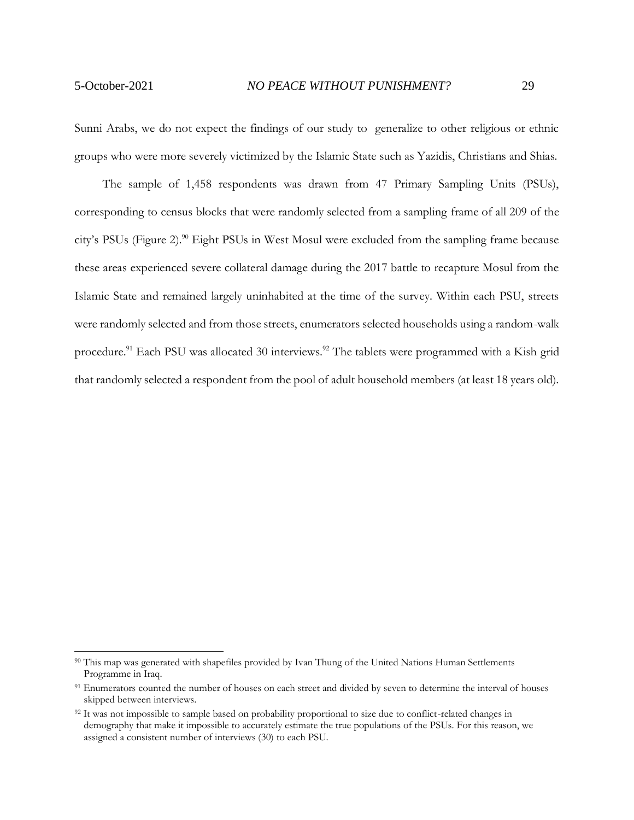Sunni Arabs, we do not expect the findings of our study to generalize to other religious or ethnic groups who were more severely victimized by the Islamic State such as Yazidis, Christians and Shias.

The sample of 1,458 respondents was drawn from 47 Primary Sampling Units (PSUs), corresponding to census blocks that were randomly selected from a sampling frame of all 209 of the city's PSUs (Figure 2).<sup>90</sup> Eight PSUs in West Mosul were excluded from the sampling frame because these areas experienced severe collateral damage during the 2017 battle to recapture Mosul from the Islamic State and remained largely uninhabited at the time of the survey. Within each PSU, streets were randomly selected and from those streets, enumerators selected households using a random-walk procedure.<sup>91</sup> Each PSU was allocated 30 interviews.<sup>92</sup> The tablets were programmed with a Kish grid that randomly selected a respondent from the pool of adult household members (at least 18 years old).

<sup>&</sup>lt;sup>90</sup> This map was generated with shapefiles provided by Ivan Thung of the United Nations Human Settlements Programme in Iraq.

<sup>&</sup>lt;sup>91</sup> Enumerators counted the number of houses on each street and divided by seven to determine the interval of houses skipped between interviews.

 $92$  It was not impossible to sample based on probability proportional to size due to conflict-related changes in demography that make it impossible to accurately estimate the true populations of the PSUs. For this reason, we assigned a consistent number of interviews (30) to each PSU.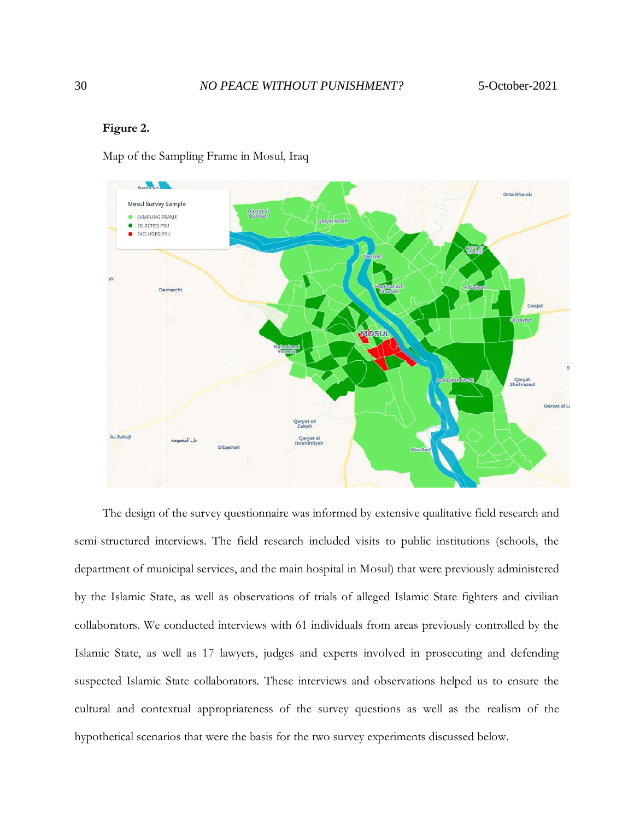## **Figure 2.**

Map of the Sampling Frame in Mosul, Iraq



The design of the survey questionnaire was informed by extensive qualitative field research and semi-structured interviews. The field research included visits to public institutions (schools, the department of municipal services, and the main hospital in Mosul) that were previously administered by the Islamic State, as well as observations of trials of alleged Islamic State fighters and civilian collaborators. We conducted interviews with 61 individuals from areas previously controlled by the Islamic State, as well as 17 lawyers, judges and experts involved in prosecuting and defending suspected Islamic State collaborators. These interviews and observations helped us to ensure the cultural and contextual appropriateness of the survey questions as well as the realism of the hypothetical scenarios that were the basis for the two survey experiments discussed below. The design of the survey questionnaire was informed by extensive qualitative field research and<br>semi-structured interviews. The field research included visits to public institutions (schools, the<br>department of municipal se

30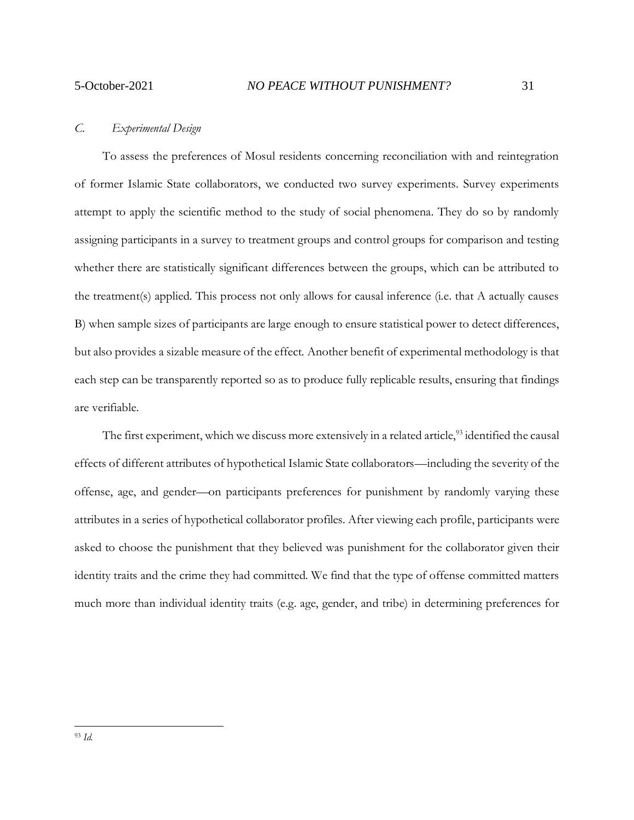#### <span id="page-30-0"></span>*C. Experimental Design*

To assess the preferences of Mosul residents concerning reconciliation with and reintegration of former Islamic State collaborators, we conducted two survey experiments. Survey experiments attempt to apply the scientific method to the study of social phenomena. They do so by randomly assigning participants in a survey to treatment groups and control groups for comparison and testing whether there are statistically significant differences between the groups, which can be attributed to the treatment(s) applied. This process not only allows for causal inference (i.e. that A actually causes B) when sample sizes of participants are large enough to ensure statistical power to detect differences, but also provides a sizable measure of the effect. Another benefit of experimental methodology is that each step can be transparently reported so as to produce fully replicable results, ensuring that findings are verifiable.

The first experiment, which we discuss more extensively in a related article,<sup>93</sup> identified the causal effects of different attributes of hypothetical Islamic State collaborators—including the severity of the offense, age, and gender—on participants preferences for punishment by randomly varying these attributes in a series of hypothetical collaborator profiles. After viewing each profile, participants were asked to choose the punishment that they believed was punishment for the collaborator given their identity traits and the crime they had committed. We find that the type of offense committed matters much more than individual identity traits (e.g. age, gender, and tribe) in determining preferences for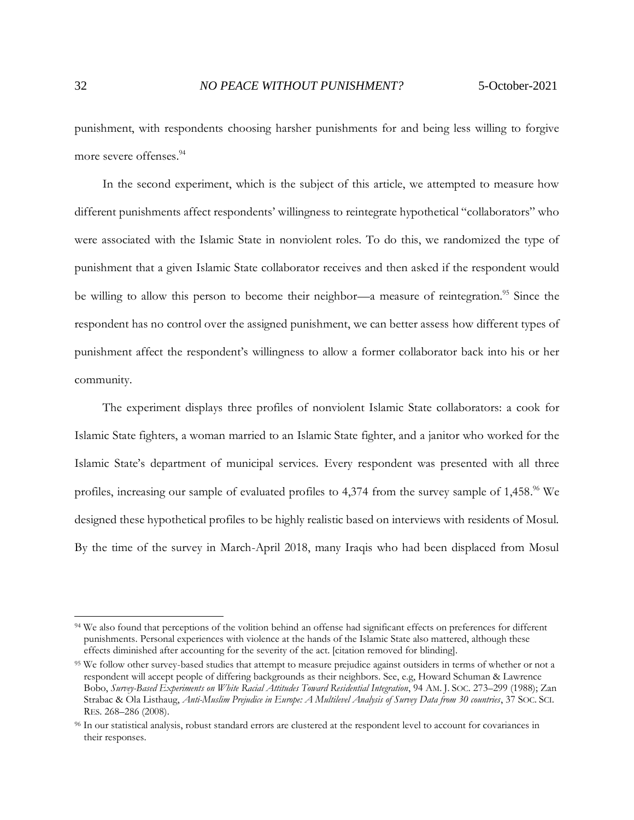punishment, with respondents choosing harsher punishments for and being less willing to forgive more severe offenses. 94

In the second experiment, which is the subject of this article, we attempted to measure how different punishments affect respondents' willingness to reintegrate hypothetical "collaborators" who were associated with the Islamic State in nonviolent roles. To do this, we randomized the type of punishment that a given Islamic State collaborator receives and then asked if the respondent would be willing to allow this person to become their neighbor—a measure of reintegration.<sup>95</sup> Since the respondent has no control over the assigned punishment, we can better assess how different types of punishment affect the respondent's willingness to allow a former collaborator back into his or her community.

The experiment displays three profiles of nonviolent Islamic State collaborators: a cook for Islamic State fighters, a woman married to an Islamic State fighter, and a janitor who worked for the Islamic State's department of municipal services. Every respondent was presented with all three profiles, increasing our sample of evaluated profiles to 4,374 from the survey sample of 1,458.<sup>96</sup> We designed these hypothetical profiles to be highly realistic based on interviews with residents of Mosul. By the time of the survey in March-April 2018, many Iraqis who had been displaced from Mosul

<sup>94</sup> We also found that perceptions of the volition behind an offense had significant effects on preferences for different punishments. Personal experiences with violence at the hands of the Islamic State also mattered, although these effects diminished after accounting for the severity of the act. [citation removed for blinding].

<sup>&</sup>lt;sup>95</sup> We follow other survey-based studies that attempt to measure prejudice against outsiders in terms of whether or not a respondent will accept people of differing backgrounds as their neighbors. See, e.g, Howard Schuman & Lawrence Bobo, *Survey-Based Experiments on White Racial Attitudes Toward Residential Integration*, 94 AM. J. SOC. 273–299 (1988); Zan Strabac & Ola Listhaug, *Anti-Muslim Prejudice in Europe: A Multilevel Analysis of Survey Data from 30 countries*, 37 SOC. SCI. RES. 268–286 (2008).

<sup>&</sup>lt;sup>96</sup> In our statistical analysis, robust standard errors are clustered at the respondent level to account for covariances in their responses.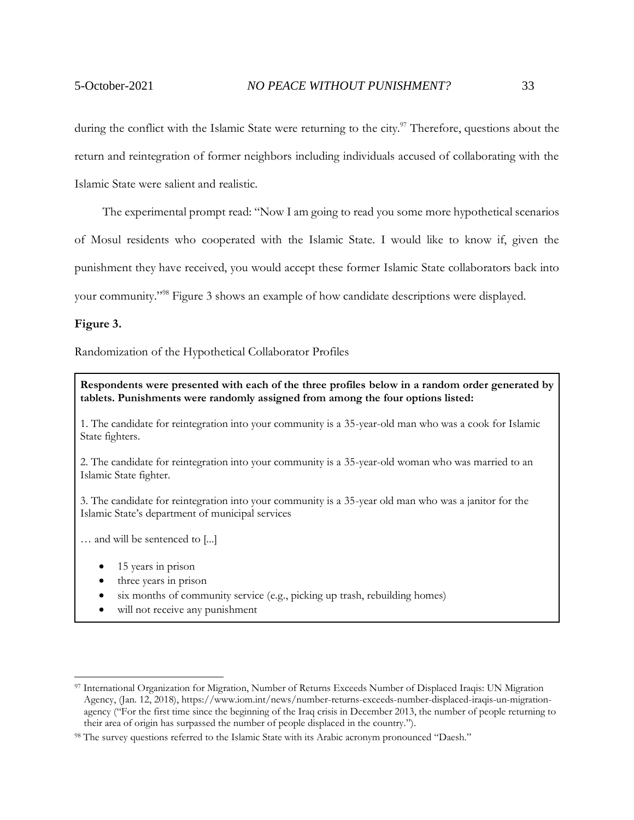during the conflict with the Islamic State were returning to the city.<sup>97</sup> Therefore, questions about the return and reintegration of former neighbors including individuals accused of collaborating with the Islamic State were salient and realistic.

The experimental prompt read: "Now I am going to read you some more hypothetical scenarios

of Mosul residents who cooperated with the Islamic State. I would like to know if, given the

punishment they have received, you would accept these former Islamic State collaborators back into

your community."<sup>98</sup> Figure 3 shows an example of how candidate descriptions were displayed.

#### **Figure 3.**

Randomization of the Hypothetical Collaborator Profiles

**Respondents were presented with each of the three profiles below in a random order generated by tablets. Punishments were randomly assigned from among the four options listed:**

1. The candidate for reintegration into your community is a 35-year-old man who was a cook for Islamic State fighters.

2. The candidate for reintegration into your community is a 35-year-old woman who was married to an Islamic State fighter.

3. The candidate for reintegration into your community is a 35-year old man who was a janitor for the Islamic State's department of municipal services

… and will be sentenced to [...]

- 15 years in prison
- three years in prison
- six months of community service (e.g., picking up trash, rebuilding homes)
- will not receive any punishment

<sup>97</sup> International Organization for Migration, Number of Returns Exceeds Number of Displaced Iraqis: UN Migration Agency, (Jan. 12, 2018), https://www.iom.int/news/number-returns-exceeds-number-displaced-iraqis-un-migrationagency ("For the first time since the beginning of the Iraq crisis in December 2013, the number of people returning to their area of origin has surpassed the number of people displaced in the country.").

<sup>98</sup> The survey questions referred to the Islamic State with its Arabic acronym pronounced "Daesh."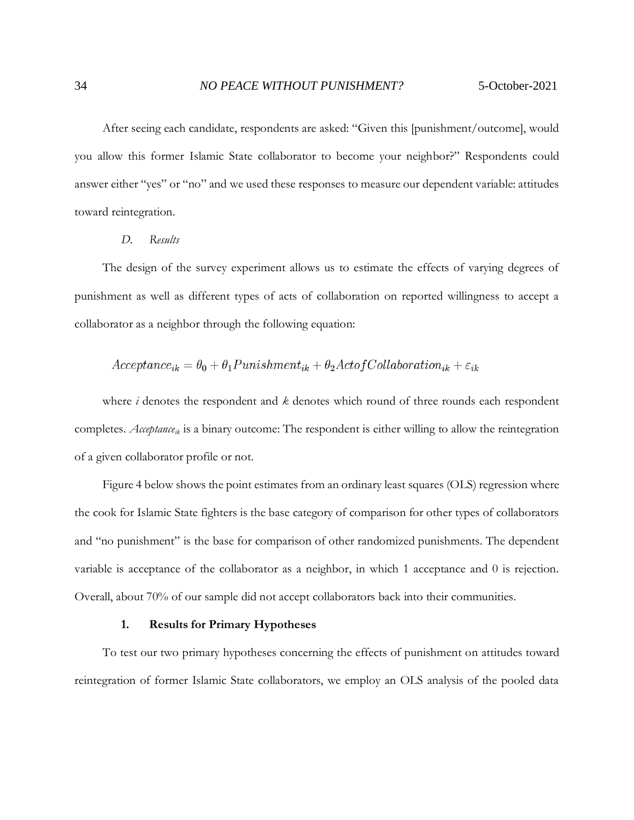After seeing each candidate, respondents are asked: "Given this [punishment/outcome], would you allow this former Islamic State collaborator to become your neighbor?" Respondents could answer either "yes" or "no" and we used these responses to measure our dependent variable: attitudes toward reintegration.

#### *D. Results*

<span id="page-33-0"></span>The design of the survey experiment allows us to estimate the effects of varying degrees of punishment as well as different types of acts of collaboration on reported willingness to accept a collaborator as a neighbor through the following equation:

$$
Acceptance_{ik} = \theta_0 + \theta_1 Punishment_{ik} + \theta_2 ActofCollaboration_{ik} + \varepsilon_{ik}
$$

where *i* denotes the respondent and *k* denotes which round of three rounds each respondent completes. *Acceptanceik* is a binary outcome: The respondent is either willing to allow the reintegration of a given collaborator profile or not.

Figure 4 below shows the point estimates from an ordinary least squares (OLS) regression where the cook for Islamic State fighters is the base category of comparison for other types of collaborators and "no punishment" is the base for comparison of other randomized punishments. The dependent variable is acceptance of the collaborator as a neighbor, in which 1 acceptance and 0 is rejection. Overall, about 70% of our sample did not accept collaborators back into their communities.

#### **1. Results for Primary Hypotheses**

<span id="page-33-1"></span>To test our two primary hypotheses concerning the effects of punishment on attitudes toward reintegration of former Islamic State collaborators, we employ an OLS analysis of the pooled data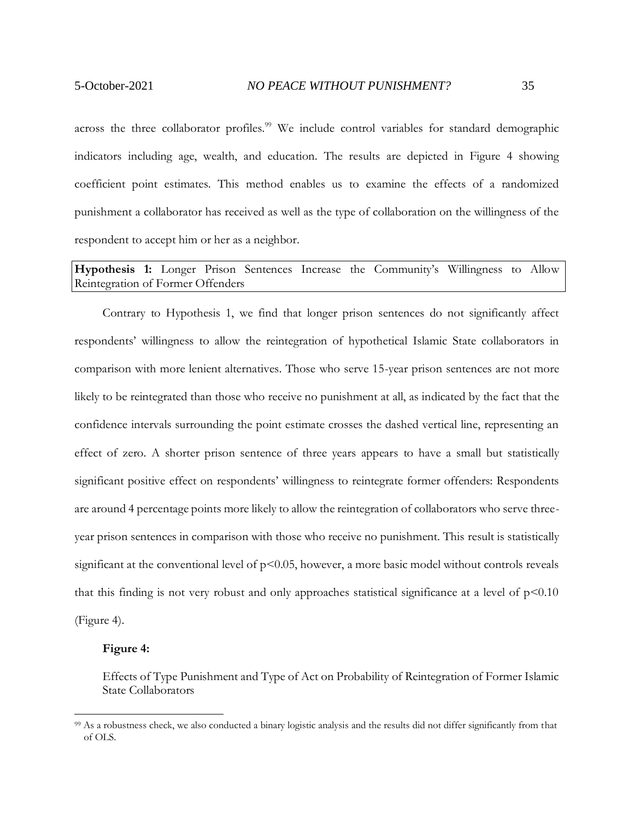across the three collaborator profiles.<sup>99</sup> We include control variables for standard demographic indicators including age, wealth, and education. The results are depicted in Figure 4 showing coefficient point estimates. This method enables us to examine the effects of a randomized punishment a collaborator has received as well as the type of collaboration on the willingness of the respondent to accept him or her as a neighbor.

# **Hypothesis 1:** Longer Prison Sentences Increase the Community's Willingness to Allow Reintegration of Former Offenders

Contrary to Hypothesis 1, we find that longer prison sentences do not significantly affect respondents' willingness to allow the reintegration of hypothetical Islamic State collaborators in comparison with more lenient alternatives. Those who serve 15-year prison sentences are not more likely to be reintegrated than those who receive no punishment at all, as indicated by the fact that the confidence intervals surrounding the point estimate crosses the dashed vertical line, representing an effect of zero. A shorter prison sentence of three years appears to have a small but statistically significant positive effect on respondents' willingness to reintegrate former offenders: Respondents are around 4 percentage points more likely to allow the reintegration of collaborators who serve threeyear prison sentences in comparison with those who receive no punishment. This result is statistically significant at the conventional level of  $p<0.05$ , however, a more basic model without controls reveals that this finding is not very robust and only approaches statistical significance at a level of  $p<0.10$ (Figure 4).

#### **Figure 4:**

Effects of Type Punishment and Type of Act on Probability of Reintegration of Former Islamic State Collaborators

<sup>&</sup>lt;sup>99</sup> As a robustness check, we also conducted a binary logistic analysis and the results did not differ significantly from that of OLS.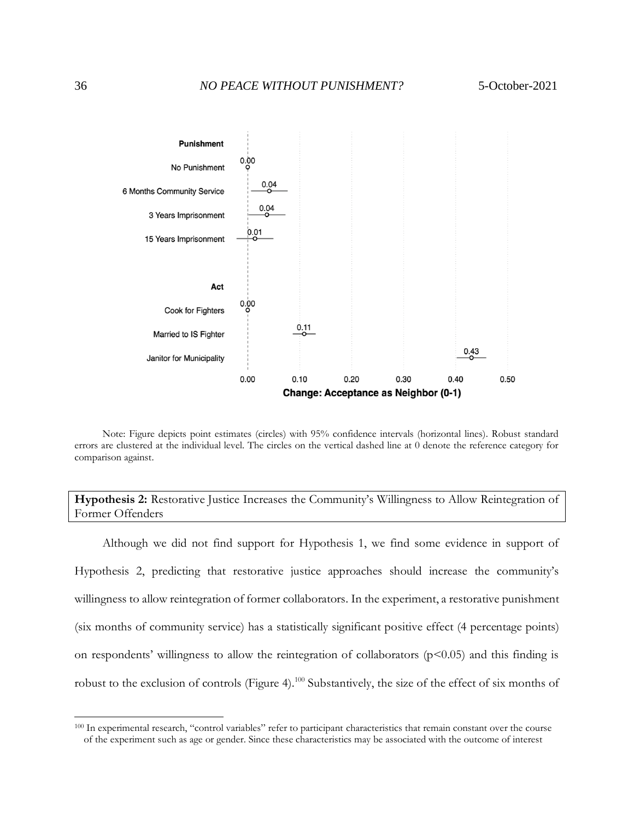

Note: Figure depicts point estimates (circles) with 95% confidence intervals (horizontal lines). Robust standard errors are clustered at the individual level. The circles on the vertical dashed line at 0 denote the reference category for comparison against.

**Hypothesis 2:** Restorative Justice Increases the Community's Willingness to Allow Reintegration of Former Offenders

Although we did not find support for Hypothesis 1, we find some evidence in support of Hypothesis 2, predicting that restorative justice approaches should increase the community's willingness to allow reintegration of former collaborators. In the experiment, a restorative punishment (six months of community service) has a statistically significant positive effect (4 percentage points) on respondents' willingness to allow the reintegration of collaborators  $(p<0.05)$  and this finding is robust to the exclusion of controls (Figure 4).<sup>100</sup> Substantively, the size of the effect of six months of

<sup>100</sup> In experimental research, "control variables" refer to participant characteristics that remain constant over the course of the experiment such as age or gender. Since these characteristics may be associated with the outcome of interest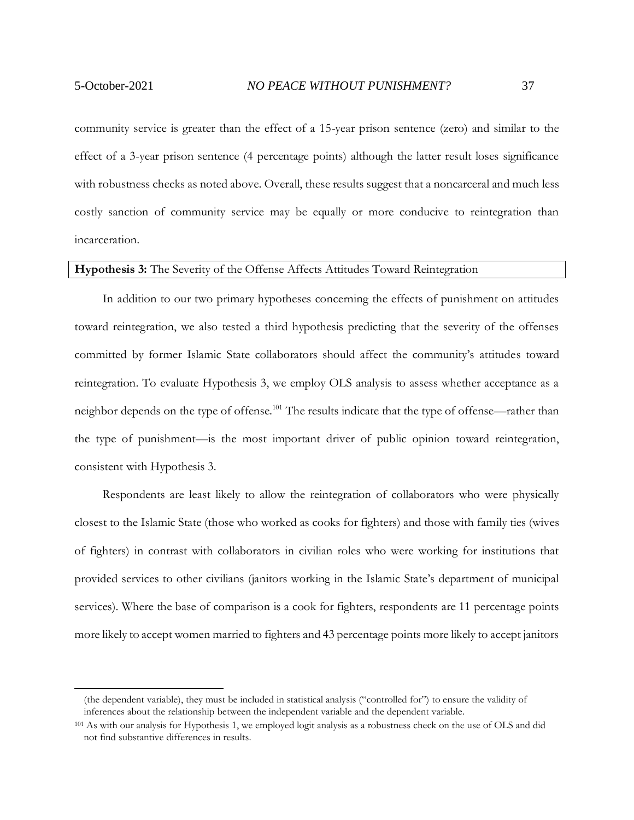community service is greater than the effect of a 15-year prison sentence (zero) and similar to the effect of a 3-year prison sentence (4 percentage points) although the latter result loses significance with robustness checks as noted above. Overall, these results suggest that a noncarceral and much less costly sanction of community service may be equally or more conducive to reintegration than incarceration.

#### **Hypothesis 3:** The Severity of the Offense Affects Attitudes Toward Reintegration

In addition to our two primary hypotheses concerning the effects of punishment on attitudes toward reintegration, we also tested a third hypothesis predicting that the severity of the offenses committed by former Islamic State collaborators should affect the community's attitudes toward reintegration. To evaluate Hypothesis 3, we employ OLS analysis to assess whether acceptance as a neighbor depends on the type of offense.<sup>101</sup> The results indicate that the type of offense—rather than the type of punishment—is the most important driver of public opinion toward reintegration, consistent with Hypothesis 3.

Respondents are least likely to allow the reintegration of collaborators who were physically closest to the Islamic State (those who worked as cooks for fighters) and those with family ties (wives of fighters) in contrast with collaborators in civilian roles who were working for institutions that provided services to other civilians (janitors working in the Islamic State's department of municipal services). Where the base of comparison is a cook for fighters, respondents are 11 percentage points more likely to accept women married to fighters and 43 percentage points more likely to accept janitors

<sup>(</sup>the dependent variable), they must be included in statistical analysis ("controlled for") to ensure the validity of inferences about the relationship between the independent variable and the dependent variable.

<sup>&</sup>lt;sup>101</sup> As with our analysis for Hypothesis 1, we employed logit analysis as a robustness check on the use of OLS and did not find substantive differences in results.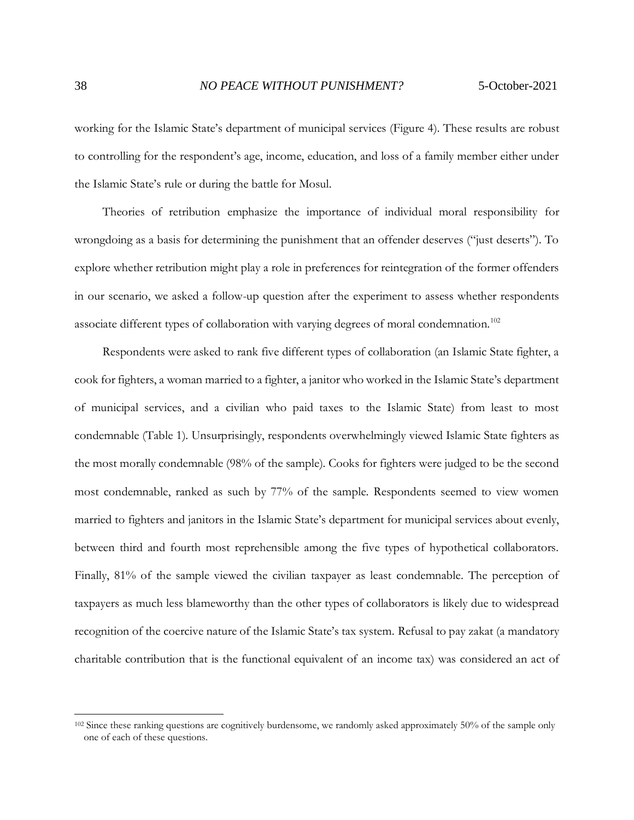working for the Islamic State's department of municipal services (Figure 4). These results are robust to controlling for the respondent's age, income, education, and loss of a family member either under the Islamic State's rule or during the battle for Mosul.

Theories of retribution emphasize the importance of individual moral responsibility for wrongdoing as a basis for determining the punishment that an offender deserves ("just deserts"). To explore whether retribution might play a role in preferences for reintegration of the former offenders in our scenario, we asked a follow-up question after the experiment to assess whether respondents associate different types of collaboration with varying degrees of moral condemnation.<sup>102</sup>

Respondents were asked to rank five different types of collaboration (an Islamic State fighter, a cook for fighters, a woman married to a fighter, a janitor who worked in the Islamic State's department of municipal services, and a civilian who paid taxes to the Islamic State) from least to most condemnable (Table 1). Unsurprisingly, respondents overwhelmingly viewed Islamic State fighters as the most morally condemnable (98% of the sample). Cooks for fighters were judged to be the second most condemnable, ranked as such by 77% of the sample. Respondents seemed to view women married to fighters and janitors in the Islamic State's department for municipal services about evenly, between third and fourth most reprehensible among the five types of hypothetical collaborators. Finally, 81% of the sample viewed the civilian taxpayer as least condemnable. The perception of taxpayers as much less blameworthy than the other types of collaborators is likely due to widespread recognition of the coercive nature of the Islamic State's tax system. Refusal to pay zakat (a mandatory charitable contribution that is the functional equivalent of an income tax) was considered an act of

<sup>&</sup>lt;sup>102</sup> Since these ranking questions are cognitively burdensome, we randomly asked approximately 50% of the sample only one of each of these questions.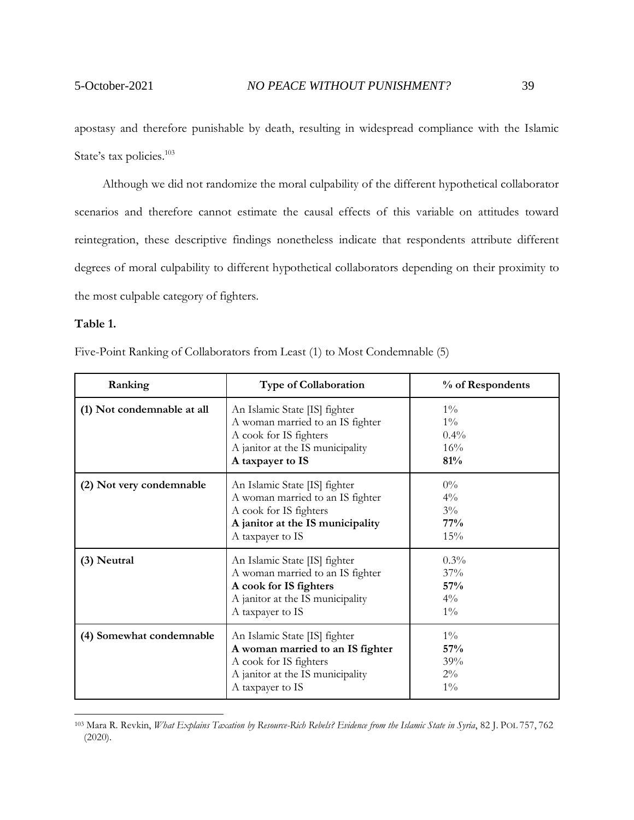apostasy and therefore punishable by death, resulting in widespread compliance with the Islamic State's tax policies.<sup>103</sup>

Although we did not randomize the moral culpability of the different hypothetical collaborator scenarios and therefore cannot estimate the causal effects of this variable on attitudes toward reintegration, these descriptive findings nonetheless indicate that respondents attribute different degrees of moral culpability to different hypothetical collaborators depending on their proximity to the most culpable category of fighters.

#### **Table 1.**

Five-Point Ranking of Collaborators from Least (1) to Most Condemnable (5)

| Ranking                    | <b>Type of Collaboration</b>                                                                                                                        | % of Respondents                        |
|----------------------------|-----------------------------------------------------------------------------------------------------------------------------------------------------|-----------------------------------------|
| (1) Not condemnable at all | An Islamic State [IS] fighter<br>A woman married to an IS fighter<br>A cook for IS fighters<br>A janitor at the IS municipality<br>A taxpayer to IS | $1\%$<br>$1\%$<br>$0.4\%$<br>16%<br>81% |
| (2) Not very condemnable   | An Islamic State [IS] fighter<br>A woman married to an IS fighter<br>A cook for IS fighters<br>A janitor at the IS municipality<br>A taxpayer to IS | $0\%$<br>$4\%$<br>$3\%$<br>77%<br>15%   |
| (3) Neutral                | An Islamic State [IS] fighter<br>A woman married to an IS fighter<br>A cook for IS fighters<br>A janitor at the IS municipality<br>A taxpayer to IS | $0.3\%$<br>37%<br>57%<br>$4\%$<br>$1\%$ |
| (4) Somewhat condemnable   | An Islamic State [IS] fighter<br>A woman married to an IS fighter<br>A cook for IS fighters<br>A janitor at the IS municipality<br>A taxpayer to IS | $1\%$<br>57%<br>39%<br>$2\%$<br>$1\%$   |

<sup>103</sup> Mara R. Revkin, *What Explains Taxation by Resource-Rich Rebels? Evidence from the Islamic State in Syria*, 82 J. POL 757, 762 (2020).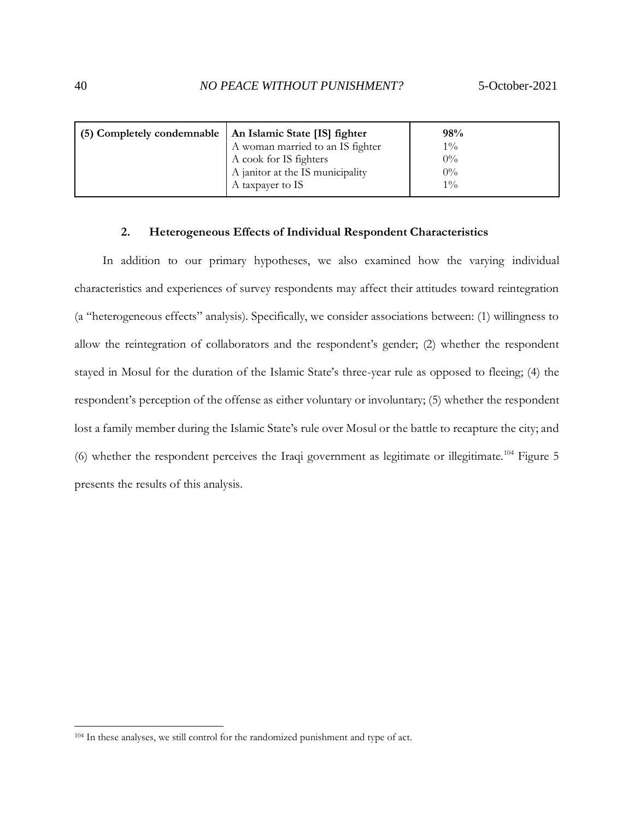| (5) Completely condemnable   An Islamic State [IS] fighter |                                  | 98%   |
|------------------------------------------------------------|----------------------------------|-------|
|                                                            | A woman married to an IS fighter | $1\%$ |
|                                                            | A cook for IS fighters           | $0\%$ |
|                                                            | A janitor at the IS municipality | $0\%$ |
|                                                            | A taxpayer to IS                 | $1\%$ |

#### **2. Heterogeneous Effects of Individual Respondent Characteristics**

<span id="page-39-0"></span>In addition to our primary hypotheses, we also examined how the varying individual characteristics and experiences of survey respondents may affect their attitudes toward reintegration (a "heterogeneous effects" analysis). Specifically, we consider associations between: (1) willingness to allow the reintegration of collaborators and the respondent's gender; (2) whether the respondent stayed in Mosul for the duration of the Islamic State's three-year rule as opposed to fleeing; (4) the respondent's perception of the offense as either voluntary or involuntary; (5) whether the respondent lost a family member during the Islamic State's rule over Mosul or the battle to recapture the city; and (6) whether the respondent perceives the Iraqi government as legitimate or illegitimate.<sup>104</sup> Figure 5 presents the results of this analysis.

<sup>104</sup> In these analyses, we still control for the randomized punishment and type of act.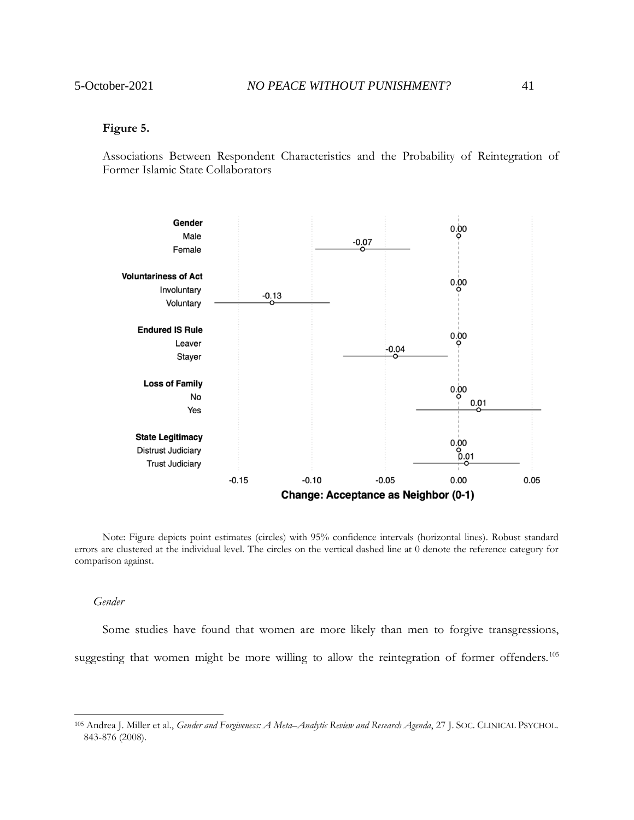#### **Figure 5.**

Associations Between Respondent Characteristics and the Probability of Reintegration of Former Islamic State Collaborators



Note: Figure depicts point estimates (circles) with 95% confidence intervals (horizontal lines). Robust standard errors are clustered at the individual level. The circles on the vertical dashed line at 0 denote the reference category for comparison against.

#### *Gender*

Some studies have found that women are more likely than men to forgive transgressions, suggesting that women might be more willing to allow the reintegration of former offenders.<sup>105</sup>

<sup>105</sup> Andrea J. Miller et al., *Gender and Forgiveness: A Meta–Analytic Review and Research Agenda*, 27 J. SOC. CLINICAL PSYCHOL. 843-876 (2008).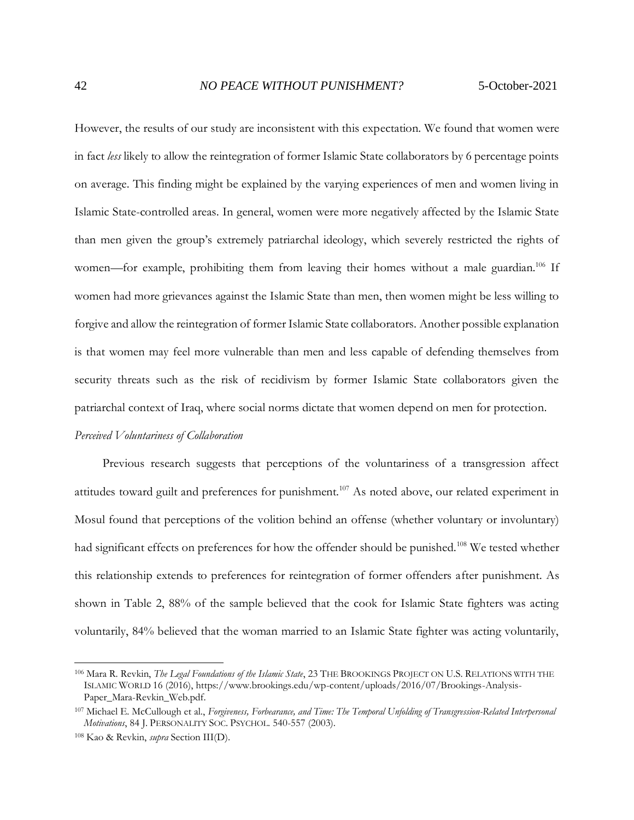However, the results of our study are inconsistent with this expectation. We found that women were in fact *less* likely to allow the reintegration of former Islamic State collaborators by 6 percentage points on average. This finding might be explained by the varying experiences of men and women living in Islamic State-controlled areas. In general, women were more negatively affected by the Islamic State than men given the group's extremely patriarchal ideology, which severely restricted the rights of women—for example, prohibiting them from leaving their homes without a male guardian.<sup>106</sup> If women had more grievances against the Islamic State than men, then women might be less willing to forgive and allow the reintegration of former Islamic State collaborators. Another possible explanation is that women may feel more vulnerable than men and less capable of defending themselves from security threats such as the risk of recidivism by former Islamic State collaborators given the patriarchal context of Iraq, where social norms dictate that women depend on men for protection.

#### *Perceived Voluntariness of Collaboration*

Previous research suggests that perceptions of the voluntariness of a transgression affect attitudes toward guilt and preferences for punishment.<sup>107</sup> As noted above, our related experiment in Mosul found that perceptions of the volition behind an offense (whether voluntary or involuntary) had significant effects on preferences for how the offender should be punished.<sup>108</sup> We tested whether this relationship extends to preferences for reintegration of former offenders after punishment. As shown in Table 2, 88% of the sample believed that the cook for Islamic State fighters was acting voluntarily, 84% believed that the woman married to an Islamic State fighter was acting voluntarily,

<sup>106</sup> Mara R. Revkin, *The Legal Foundations of the Islamic State*, 23 THE BROOKINGS PROJECT ON U.S. RELATIONS WITH THE ISLAMIC WORLD 16 (2016), https://www.brookings.edu/wp-content/uploads/2016/07/Brookings-Analysis-Paper\_Mara-Revkin\_Web.pdf.

<sup>107</sup> Michael E. McCullough et al., *Forgiveness, Forbearance, and Time: The Temporal Unfolding of Transgression-Related Interpersonal Motivations*, 84 J. PERSONALITY SOC. PSYCHOL. 540-557 (2003).

<sup>108</sup> Kao & Revkin, *supra* Section III(D).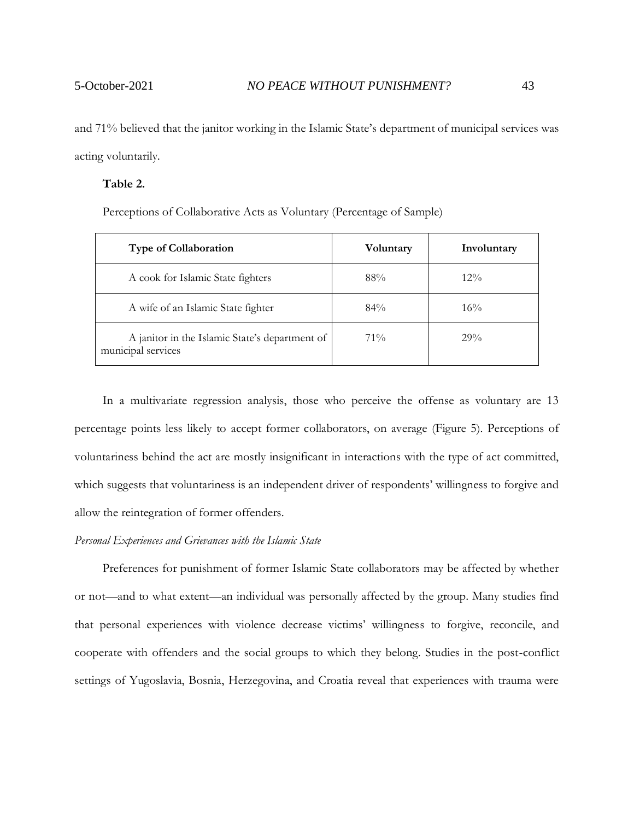and 71% believed that the janitor working in the Islamic State's department of municipal services was acting voluntarily.

#### **Table 2.**

Perceptions of Collaborative Acts as Voluntary (Percentage of Sample)

| <b>Type of Collaboration</b>                                         | Voluntary | Involuntary |
|----------------------------------------------------------------------|-----------|-------------|
| A cook for Islamic State fighters                                    | 88%       | $12\%$      |
| A wife of an Islamic State fighter                                   | $84\%$    | $16\%$      |
| A janitor in the Islamic State's department of<br>municipal services | $71\%$    | 29%         |

In a multivariate regression analysis, those who perceive the offense as voluntary are 13 percentage points less likely to accept former collaborators, on average (Figure 5). Perceptions of voluntariness behind the act are mostly insignificant in interactions with the type of act committed, which suggests that voluntariness is an independent driver of respondents' willingness to forgive and allow the reintegration of former offenders.

# *Personal Experiences and Grievances with the Islamic State*

Preferences for punishment of former Islamic State collaborators may be affected by whether or not—and to what extent—an individual was personally affected by the group. Many studies find that personal experiences with violence decrease victims' willingness to forgive, reconcile, and cooperate with offenders and the social groups to which they belong. Studies in the post-conflict settings of Yugoslavia, Bosnia, Herzegovina, and Croatia reveal that experiences with trauma were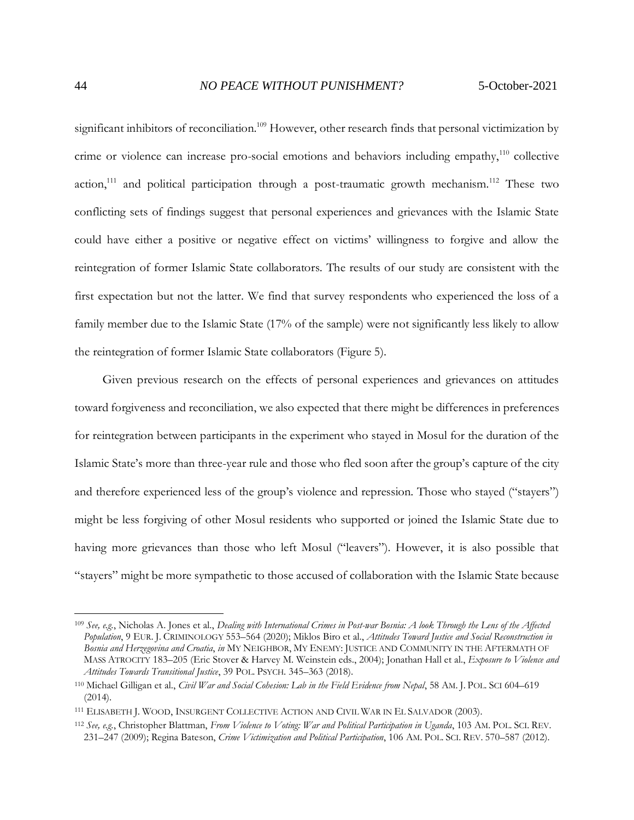significant inhibitors of reconciliation.<sup>109</sup> However, other research finds that personal victimization by crime or violence can increase pro-social emotions and behaviors including empathy,<sup>110</sup> collective action,<sup>111</sup> and political participation through a post-traumatic growth mechanism.<sup>112</sup> These two conflicting sets of findings suggest that personal experiences and grievances with the Islamic State could have either a positive or negative effect on victims' willingness to forgive and allow the reintegration of former Islamic State collaborators. The results of our study are consistent with the first expectation but not the latter. We find that survey respondents who experienced the loss of a family member due to the Islamic State (17% of the sample) were not significantly less likely to allow the reintegration of former Islamic State collaborators (Figure 5).

Given previous research on the effects of personal experiences and grievances on attitudes toward forgiveness and reconciliation, we also expected that there might be differences in preferences for reintegration between participants in the experiment who stayed in Mosul for the duration of the Islamic State's more than three-year rule and those who fled soon after the group's capture of the city and therefore experienced less of the group's violence and repression. Those who stayed ("stayers") might be less forgiving of other Mosul residents who supported or joined the Islamic State due to having more grievances than those who left Mosul ("leavers"). However, it is also possible that "stayers" might be more sympathetic to those accused of collaboration with the Islamic State because

<sup>109</sup> *See, e.g.*, Nicholas A. Jones et al., *Dealing with International Crimes in Post-war Bosnia: A look Through the Lens of the Affected Population*, 9 EUR. J. CRIMINOLOGY 553–564 (2020); Miklos Biro et al., *Attitudes Toward Justice and Social Reconstruction in Bosnia and Herzegovina and Croatia*, *in* MY NEIGHBOR, MY ENEMY: JUSTICE AND COMMUNITY IN THE AFTERMATH OF MASS ATROCITY 183–205 (Eric Stover & Harvey M. Weinstein eds., 2004); Jonathan Hall et al., *Exposure to Violence and Attitudes Towards Transitional Justice*, 39 POL. PSYCH. 345–363 (2018).

<sup>110</sup> Michael Gilligan et al., *Civil War and Social Cohesion: Lab in the Field Evidence from Nepal*, 58 AM. J. POL. SCI 604–619 (2014).

<sup>111</sup> ELISABETH J. WOOD, INSURGENT COLLECTIVE ACTION AND CIVIL WAR IN EL SALVADOR (2003).

<sup>112</sup> *See, e.g.*, Christopher Blattman, *From Violence to Voting: War and Political Participation in Uganda*, 103 AM. POL. SCI. REV. 231–247 (2009); Regina Bateson, *Crime Victimization and Political Participation*, 106 AM. POL. SCI. REV. 570–587 (2012).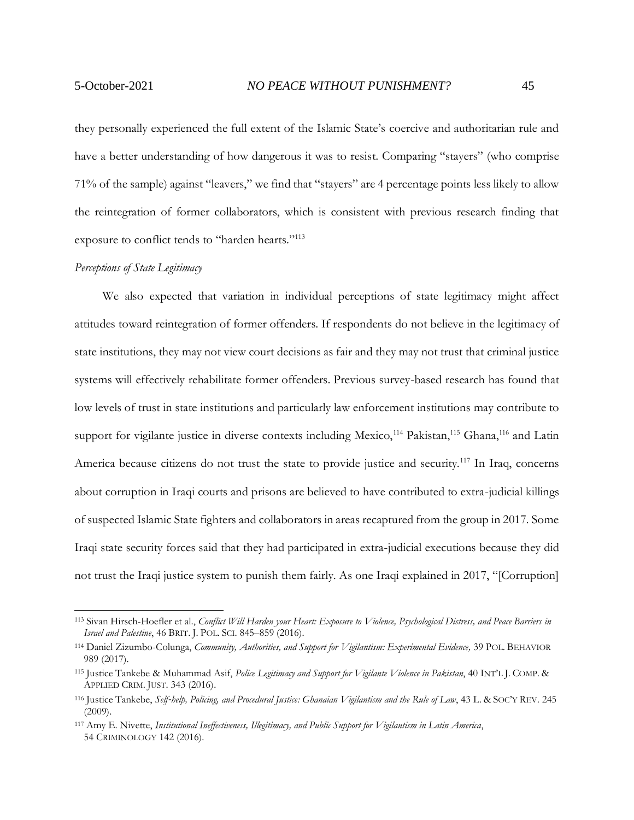they personally experienced the full extent of the Islamic State's coercive and authoritarian rule and have a better understanding of how dangerous it was to resist. Comparing "stayers" (who comprise 71% of the sample) against "leavers," we find that "stayers" are 4 percentage points less likely to allow the reintegration of former collaborators, which is consistent with previous research finding that exposure to conflict tends to "harden hearts."<sup>113</sup>

#### *Perceptions of State Legitimacy*

We also expected that variation in individual perceptions of state legitimacy might affect attitudes toward reintegration of former offenders. If respondents do not believe in the legitimacy of state institutions, they may not view court decisions as fair and they may not trust that criminal justice systems will effectively rehabilitate former offenders. Previous survey-based research has found that low levels of trust in state institutions and particularly law enforcement institutions may contribute to support for vigilante justice in diverse contexts including Mexico,<sup>114</sup> Pakistan,<sup>115</sup> Ghana,<sup>116</sup> and Latin America because citizens do not trust the state to provide justice and security.<sup>117</sup> In Iraq, concerns about corruption in Iraqi courts and prisons are believed to have contributed to extra-judicial killings of suspected Islamic State fighters and collaborators in areas recaptured from the group in 2017. Some Iraqi state security forces said that they had participated in extra-judicial executions because they did not trust the Iraqi justice system to punish them fairly. As one Iraqi explained in 2017, "[Corruption]

<sup>113</sup> Sivan Hirsch-Hoefler et al., *Conflict Will Harden your Heart: Exposure to Violence, Psychological Distress, and Peace Barriers in Israel and Palestine*, 46 BRIT. J. POL. SCI. 845–859 (2016).

<sup>114</sup> Daniel Zizumbo-Colunga, *Community, Authorities, and Support for Vigilantism: Experimental Evidence,* 39 POL. BEHAVIOR 989 (2017).

<sup>115</sup> Justice Tankebe & Muhammad Asif, *Police Legitimacy and Support for Vigilante Violence in Pakistan*, 40 INT'L J. COMP. & APPLIED CRIM. JUST. 343 (2016).

<sup>116</sup> Justice Tankebe, *Self*‐*help, Policing, and Procedural Justice: Ghanaian Vigilantism and the Rule of Law*, 43 L. & SOC'Y REV. 245 (2009).

<sup>117</sup> Amy E. Nivette, *Institutional Ineffectiveness, Illegitimacy, and Public Support for Vigilantism in Latin America*, 54 CRIMINOLOGY 142 (2016).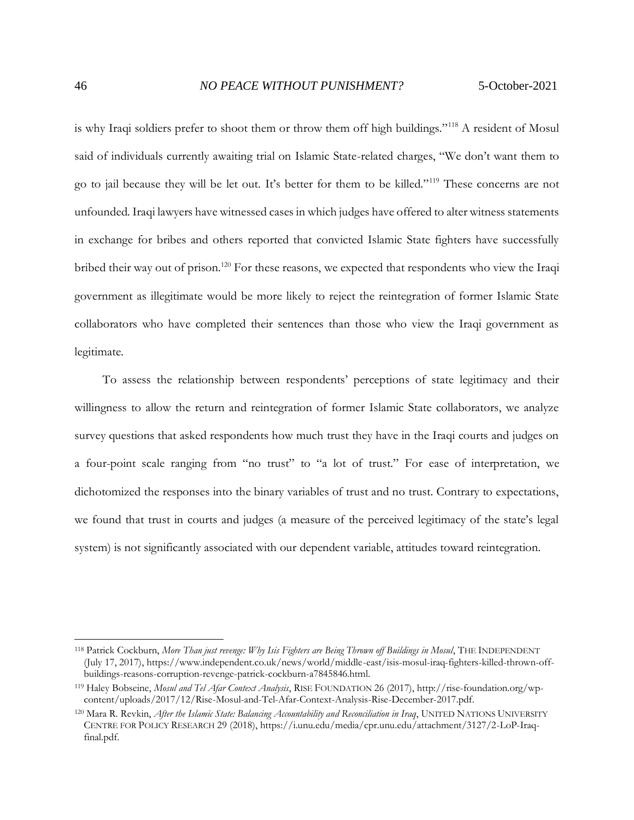is why Iraqi soldiers prefer to shoot them or throw them off high buildings."<sup>118</sup> A resident of Mosul said of individuals currently awaiting trial on Islamic State-related charges, "We don't want them to go to jail because they will be let out. It's better for them to be killed."<sup>119</sup> These concerns are not unfounded. Iraqi lawyers have witnessed cases in which judges have offered to alter witness statements in exchange for bribes and others reported that convicted Islamic State fighters have successfully bribed their way out of prison.<sup>120</sup> For these reasons, we expected that respondents who view the Iraqi government as illegitimate would be more likely to reject the reintegration of former Islamic State collaborators who have completed their sentences than those who view the Iraqi government as legitimate.

To assess the relationship between respondents' perceptions of state legitimacy and their willingness to allow the return and reintegration of former Islamic State collaborators, we analyze survey questions that asked respondents how much trust they have in the Iraqi courts and judges on a four-point scale ranging from "no trust" to "a lot of trust." For ease of interpretation, we dichotomized the responses into the binary variables of trust and no trust. Contrary to expectations, we found that trust in courts and judges (a measure of the perceived legitimacy of the state's legal system) is not significantly associated with our dependent variable, attitudes toward reintegration.

<sup>118</sup> Patrick Cockburn, *More Than just revenge: Why Isis Fighters are Being Thrown off Buildings in Mosul*, THE INDEPENDENT (July 17, 2017), https://www.independent.co.uk/news/world/middle-east/isis-mosul-iraq-fighters-killed-thrown-offbuildings-reasons-corruption-revenge-patrick-cockburn-a7845846.html.

<sup>119</sup> Haley Bobseine, *Mosul and Tel Afar Context Analysis*, RISE FOUNDATION 26 (2017), http://rise-foundation.org/wpcontent/uploads/2017/12/Rise-Mosul-and-Tel-Afar-Context-Analysis-Rise-December-2017.pdf.

<sup>120</sup> Mara R. Revkin, *After the Islamic State: Balancing Accountability and Reconciliation in Iraq*, UNITED NATIONS UNIVERSITY CENTRE FOR POLICY RESEARCH 29 (2018), https://i.unu.edu/media/cpr.unu.edu/attachment/3127/2-LoP-Iraqfinal.pdf.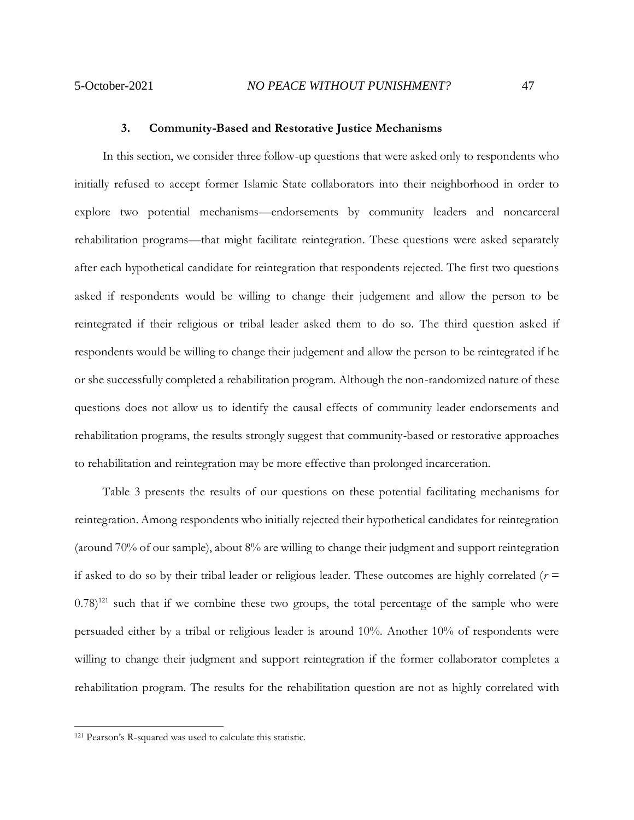#### **3. Community-Based and Restorative Justice Mechanisms**

<span id="page-46-0"></span>In this section, we consider three follow-up questions that were asked only to respondents who initially refused to accept former Islamic State collaborators into their neighborhood in order to explore two potential mechanisms—endorsements by community leaders and noncarceral rehabilitation programs—that might facilitate reintegration. These questions were asked separately after each hypothetical candidate for reintegration that respondents rejected. The first two questions asked if respondents would be willing to change their judgement and allow the person to be reintegrated if their religious or tribal leader asked them to do so. The third question asked if respondents would be willing to change their judgement and allow the person to be reintegrated if he or she successfully completed a rehabilitation program. Although the non-randomized nature of these questions does not allow us to identify the causal effects of community leader endorsements and rehabilitation programs, the results strongly suggest that community-based or restorative approaches to rehabilitation and reintegration may be more effective than prolonged incarceration.

Table 3 presents the results of our questions on these potential facilitating mechanisms for reintegration. Among respondents who initially rejected their hypothetical candidates for reintegration (around 70% of our sample), about 8% are willing to change their judgment and support reintegration if asked to do so by their tribal leader or religious leader. These outcomes are highly correlated  $(r =$  $(0.78)^{121}$  such that if we combine these two groups, the total percentage of the sample who were persuaded either by a tribal or religious leader is around 10%. Another 10% of respondents were willing to change their judgment and support reintegration if the former collaborator completes a rehabilitation program. The results for the rehabilitation question are not as highly correlated with

<sup>121</sup> Pearson's R-squared was used to calculate this statistic.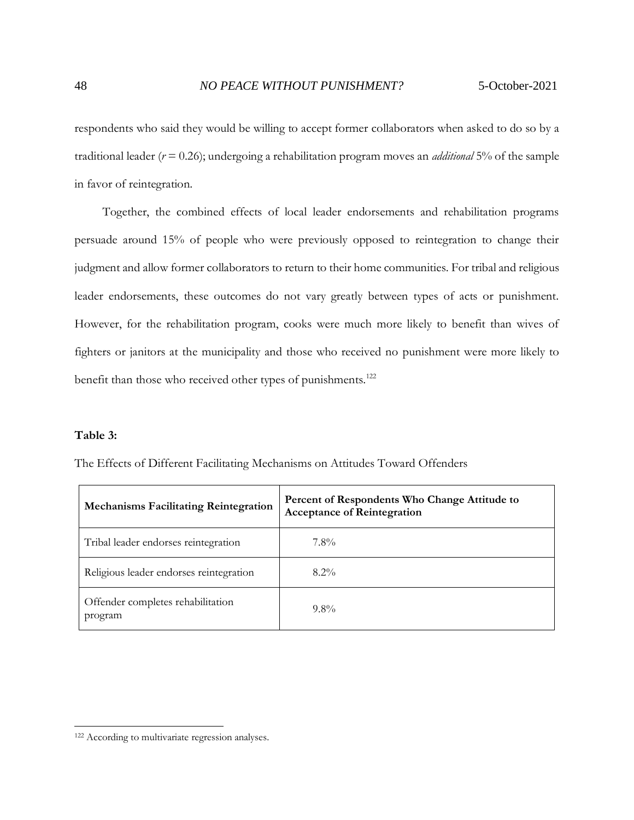respondents who said they would be willing to accept former collaborators when asked to do so by a traditional leader (*r* = 0.26); undergoing a rehabilitation program moves an *additional* 5% of the sample in favor of reintegration.

Together, the combined effects of local leader endorsements and rehabilitation programs persuade around 15% of people who were previously opposed to reintegration to change their judgment and allow former collaborators to return to their home communities. For tribal and religious leader endorsements, these outcomes do not vary greatly between types of acts or punishment. However, for the rehabilitation program, cooks were much more likely to benefit than wives of fighters or janitors at the municipality and those who received no punishment were more likely to benefit than those who received other types of punishments.<sup>122</sup>

### **Table 3:**

| <b>Mechanisms Facilitating Reintegration</b> | Percent of Respondents Who Change Attitude to<br><b>Acceptance of Reintegration</b> |
|----------------------------------------------|-------------------------------------------------------------------------------------|
| Tribal leader endorses reintegration         | $7.8\%$                                                                             |
| Religious leader endorses reintegration      | $8.2\%$                                                                             |
| Offender completes rehabilitation<br>program | $9.8\%$                                                                             |

The Effects of Different Facilitating Mechanisms on Attitudes Toward Offenders

<sup>122</sup> According to multivariate regression analyses.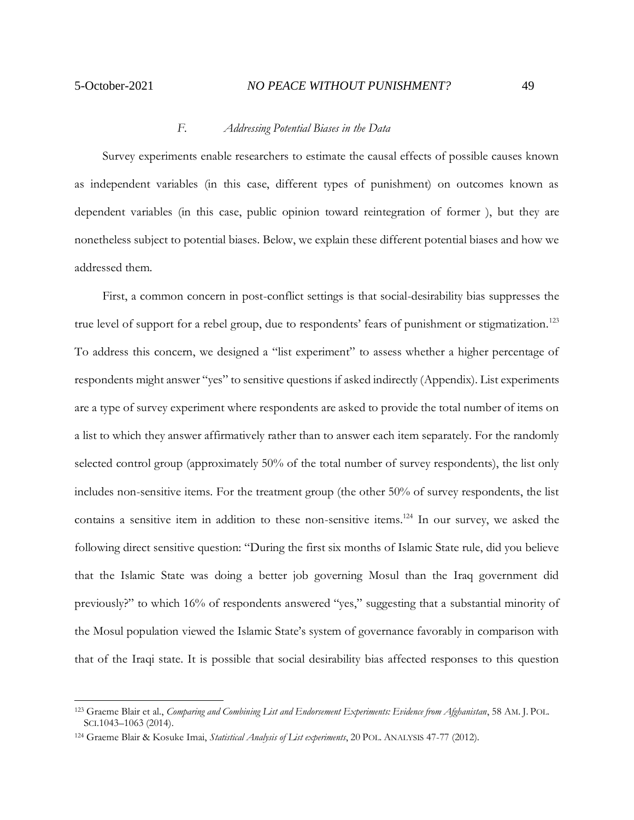## *F. Addressing Potential Biases in the Data*

<span id="page-48-0"></span>Survey experiments enable researchers to estimate the causal effects of possible causes known as independent variables (in this case, different types of punishment) on outcomes known as dependent variables (in this case, public opinion toward reintegration of former ), but they are nonetheless subject to potential biases. Below, we explain these different potential biases and how we addressed them.

First, a common concern in post-conflict settings is that social-desirability bias suppresses the true level of support for a rebel group, due to respondents' fears of punishment or stigmatization.<sup>123</sup> To address this concern, we designed a "list experiment" to assess whether a higher percentage of respondents might answer "yes" to sensitive questions if asked indirectly (Appendix). List experiments are a type of survey experiment where respondents are asked to provide the total number of items on a list to which they answer affirmatively rather than to answer each item separately. For the randomly selected control group (approximately 50% of the total number of survey respondents), the list only includes non-sensitive items. For the treatment group (the other 50% of survey respondents, the list contains a sensitive item in addition to these non-sensitive items.<sup>124</sup> In our survey, we asked the following direct sensitive question: "During the first six months of Islamic State rule, did you believe that the Islamic State was doing a better job governing Mosul than the Iraq government did previously?" to which 16% of respondents answered "yes," suggesting that a substantial minority of the Mosul population viewed the Islamic State's system of governance favorably in comparison with that of the Iraqi state. It is possible that social desirability bias affected responses to this question

<sup>123</sup> Graeme Blair et al., *Comparing and Combining List and Endorsement Experiments: Evidence from Afghanistan*, 58 AM. J. POL. SCI.1043–1063 (2014).

<sup>124</sup> Graeme Blair & Kosuke Imai, *Statistical Analysis of List experiments*, 20 POL. ANALYSIS 47-77 (2012).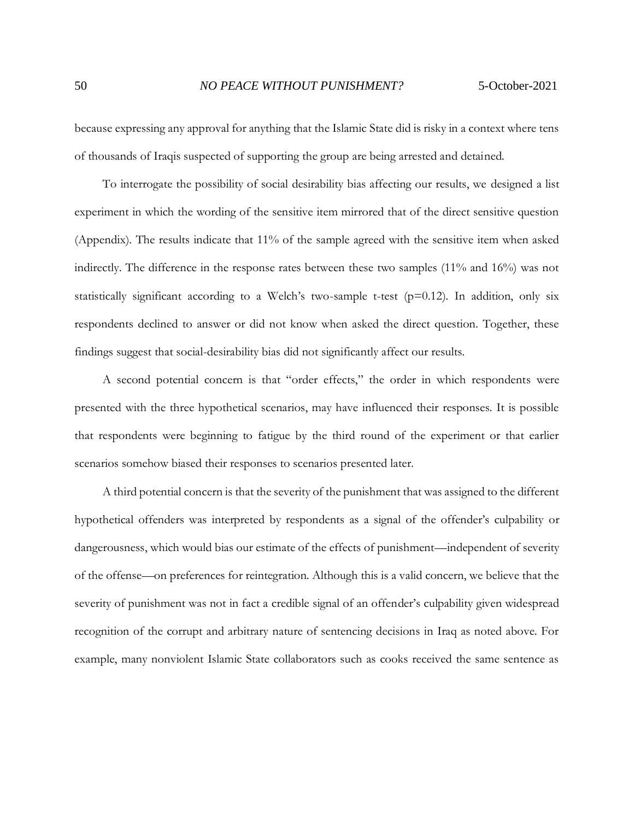because expressing any approval for anything that the Islamic State did is risky in a context where tens of thousands of Iraqis suspected of supporting the group are being arrested and detained.

To interrogate the possibility of social desirability bias affecting our results, we designed a list experiment in which the wording of the sensitive item mirrored that of the direct sensitive question (Appendix). The results indicate that 11% of the sample agreed with the sensitive item when asked indirectly. The difference in the response rates between these two samples (11% and 16%) was not statistically significant according to a Welch's two-sample t-test ( $p=0.12$ ). In addition, only six respondents declined to answer or did not know when asked the direct question. Together, these findings suggest that social-desirability bias did not significantly affect our results.

A second potential concern is that "order effects," the order in which respondents were presented with the three hypothetical scenarios, may have influenced their responses. It is possible that respondents were beginning to fatigue by the third round of the experiment or that earlier scenarios somehow biased their responses to scenarios presented later.

A third potential concern is that the severity of the punishment that was assigned to the different hypothetical offenders was interpreted by respondents as a signal of the offender's culpability or dangerousness, which would bias our estimate of the effects of punishment—independent of severity of the offense—on preferences for reintegration. Although this is a valid concern, we believe that the severity of punishment was not in fact a credible signal of an offender's culpability given widespread recognition of the corrupt and arbitrary nature of sentencing decisions in Iraq as noted above. For example, many nonviolent Islamic State collaborators such as cooks received the same sentence as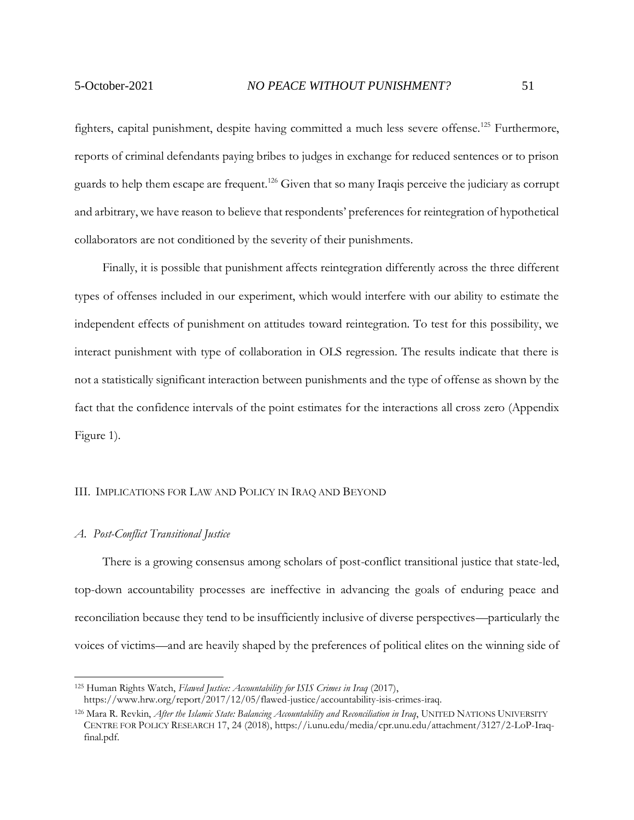fighters, capital punishment, despite having committed a much less severe offense.<sup>125</sup> Furthermore, reports of criminal defendants paying bribes to judges in exchange for reduced sentences or to prison guards to help them escape are frequent.<sup>126</sup> Given that so many Iraqis perceive the judiciary as corrupt and arbitrary, we have reason to believe that respondents' preferences for reintegration of hypothetical collaborators are not conditioned by the severity of their punishments.

Finally, it is possible that punishment affects reintegration differently across the three different types of offenses included in our experiment, which would interfere with our ability to estimate the independent effects of punishment on attitudes toward reintegration. To test for this possibility, we interact punishment with type of collaboration in OLS regression. The results indicate that there is not a statistically significant interaction between punishments and the type of offense as shown by the fact that the confidence intervals of the point estimates for the interactions all cross zero (Appendix Figure 1).

#### <span id="page-50-0"></span>III. IMPLICATIONS FOR LAW AND POLICY IN IRAQ AND BEYOND

#### <span id="page-50-1"></span>*A. Post-Conflict Transitional Justice*

There is a growing consensus among scholars of post-conflict transitional justice that state-led, top-down accountability processes are ineffective in advancing the goals of enduring peace and reconciliation because they tend to be insufficiently inclusive of diverse perspectives—particularly the voices of victims—and are heavily shaped by the preferences of political elites on the winning side of

<sup>125</sup> Human Rights Watch, *Flawed Justice: Accountability for ISIS Crimes in Iraq* (2017), https://www.hrw.org/report/2017/12/05/flawed-justice/accountability-isis-crimes-iraq.

<sup>126</sup> Mara R. Revkin, *After the Islamic State: Balancing Accountability and Reconciliation in Iraq*, UNITED NATIONS UNIVERSITY CENTRE FOR POLICY RESEARCH 17, 24 (2018), https://i.unu.edu/media/cpr.unu.edu/attachment/3127/2-LoP-Iraqfinal.pdf.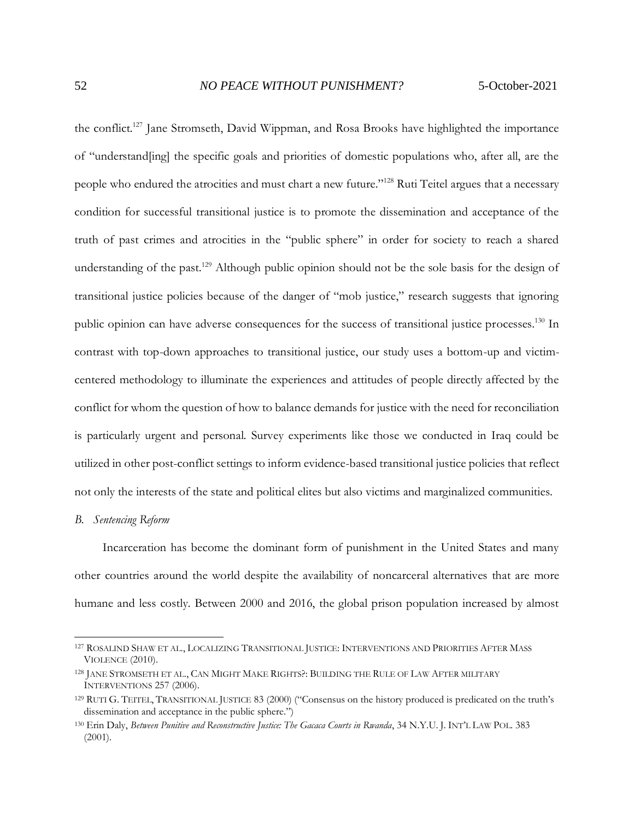the conflict.<sup>127</sup> Jane Stromseth, David Wippman, and Rosa Brooks have highlighted the importance of "understand[ing] the specific goals and priorities of domestic populations who, after all, are the people who endured the atrocities and must chart a new future."<sup>128</sup> Ruti Teitel argues that a necessary condition for successful transitional justice is to promote the dissemination and acceptance of the truth of past crimes and atrocities in the "public sphere" in order for society to reach a shared understanding of the past.<sup>129</sup> Although public opinion should not be the sole basis for the design of transitional justice policies because of the danger of "mob justice," research suggests that ignoring public opinion can have adverse consequences for the success of transitional justice processes.<sup>130</sup> In contrast with top-down approaches to transitional justice, our study uses a bottom-up and victimcentered methodology to illuminate the experiences and attitudes of people directly affected by the conflict for whom the question of how to balance demands for justice with the need for reconciliation is particularly urgent and personal. Survey experiments like those we conducted in Iraq could be utilized in other post-conflict settings to inform evidence-based transitional justice policies that reflect not only the interests of the state and political elites but also victims and marginalized communities.

#### <span id="page-51-0"></span>*B. Sentencing Reform*

Incarceration has become the dominant form of punishment in the United States and many other countries around the world despite the availability of noncarceral alternatives that are more humane and less costly. Between 2000 and 2016, the global prison population increased by almost

<sup>127</sup> ROSALIND SHAW ET AL., LOCALIZING TRANSITIONAL JUSTICE: INTERVENTIONS AND PRIORITIES AFTER MASS VIOLENCE (2010).

<sup>128</sup> JANE STROMSETH ET AL., CAN MIGHT MAKE RIGHTS?: BUILDING THE RULE OF LAW AFTER MILITARY INTERVENTIONS 257 (2006).

<sup>129</sup> RUTI G. TEITEL, TRANSITIONAL JUSTICE 83 (2000) ("Consensus on the history produced is predicated on the truth's dissemination and acceptance in the public sphere.")

<sup>130</sup> Erin Daly, *Between Punitive and Reconstructive Justice: The Gacaca Courts in Rwanda*, 34 N.Y.U. J. INT'L LAW POL. 383 (2001).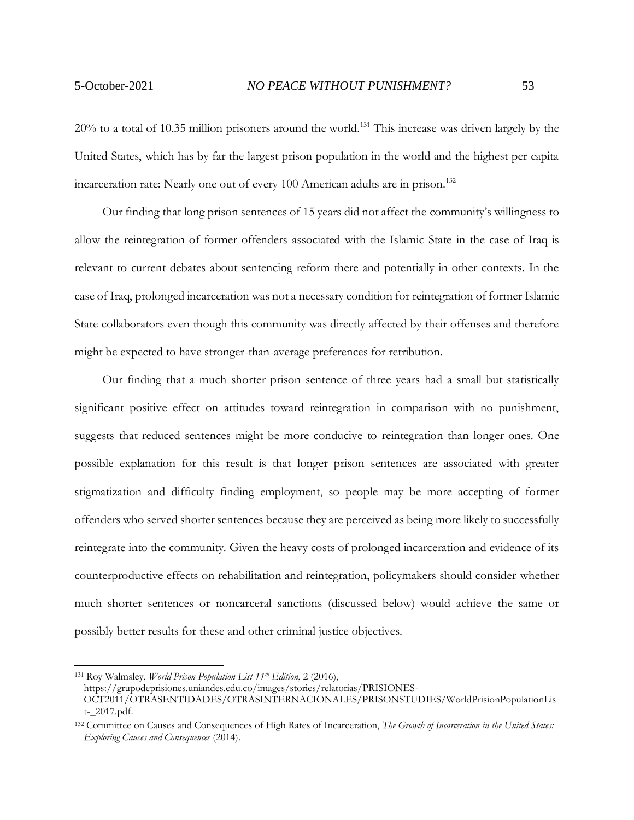20% to a total of 10.35 million prisoners around the world.<sup>131</sup> This increase was driven largely by the United States, which has by far the largest prison population in the world and the highest per capita incarceration rate: Nearly one out of every 100 American adults are in prison.<sup>132</sup>

Our finding that long prison sentences of 15 years did not affect the community's willingness to allow the reintegration of former offenders associated with the Islamic State in the case of Iraq is relevant to current debates about sentencing reform there and potentially in other contexts. In the case of Iraq, prolonged incarceration was not a necessary condition for reintegration of former Islamic State collaborators even though this community was directly affected by their offenses and therefore might be expected to have stronger-than-average preferences for retribution.

Our finding that a much shorter prison sentence of three years had a small but statistically significant positive effect on attitudes toward reintegration in comparison with no punishment, suggests that reduced sentences might be more conducive to reintegration than longer ones. One possible explanation for this result is that longer prison sentences are associated with greater stigmatization and difficulty finding employment, so people may be more accepting of former offenders who served shorter sentences because they are perceived as being more likely to successfully reintegrate into the community. Given the heavy costs of prolonged incarceration and evidence of its counterproductive effects on rehabilitation and reintegration, policymakers should consider whether much shorter sentences or noncarceral sanctions (discussed below) would achieve the same or possibly better results for these and other criminal justice objectives.

<sup>131</sup> Roy Walmsley, *World Prison Population List 11th Edition*, 2 (2016),

https://grupodeprisiones.uniandes.edu.co/images/stories/relatorias/PRISIONES-

OCT2011/OTRASENTIDADES/OTRASINTERNACIONALES/PRISONSTUDIES/WorldPrisionPopulationLis t-\_2017.pdf.

<sup>132</sup> Committee on Causes and Consequences of High Rates of Incarceration, *The Growth of Incarceration in the United States: Exploring Causes and Consequences* (2014).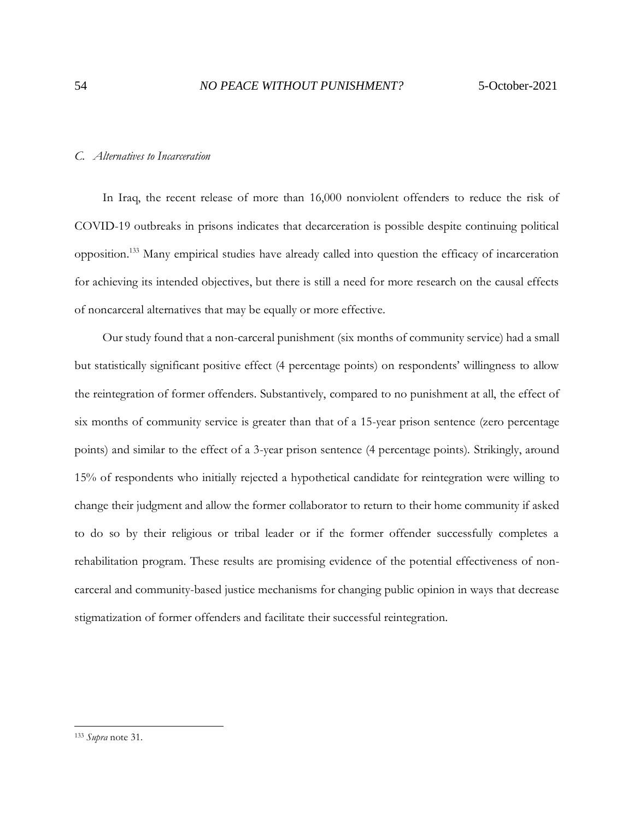#### <span id="page-53-0"></span>*C. Alternatives to Incarceration*

In Iraq, the recent release of more than 16,000 nonviolent offenders to reduce the risk of COVID-19 outbreaks in prisons indicates that decarceration is possible despite continuing political opposition.<sup>133</sup> Many empirical studies have already called into question the efficacy of incarceration for achieving its intended objectives, but there is still a need for more research on the causal effects of noncarceral alternatives that may be equally or more effective.

Our study found that a non-carceral punishment (six months of community service) had a small but statistically significant positive effect (4 percentage points) on respondents' willingness to allow the reintegration of former offenders. Substantively, compared to no punishment at all, the effect of six months of community service is greater than that of a 15-year prison sentence (zero percentage points) and similar to the effect of a 3-year prison sentence (4 percentage points). Strikingly, around 15% of respondents who initially rejected a hypothetical candidate for reintegration were willing to change their judgment and allow the former collaborator to return to their home community if asked to do so by their religious or tribal leader or if the former offender successfully completes a rehabilitation program. These results are promising evidence of the potential effectiveness of noncarceral and community-based justice mechanisms for changing public opinion in ways that decrease stigmatization of former offenders and facilitate their successful reintegration.

<sup>133</sup> *Supra* note 31.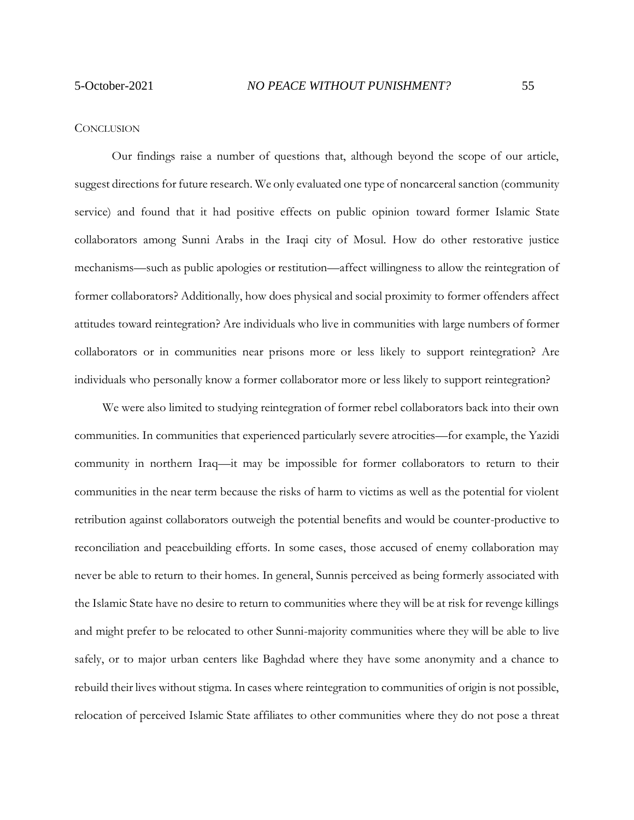#### <span id="page-54-0"></span>**CONCLUSION**

Our findings raise a number of questions that, although beyond the scope of our article, suggest directions for future research. We only evaluated one type of noncarceral sanction (community service) and found that it had positive effects on public opinion toward former Islamic State collaborators among Sunni Arabs in the Iraqi city of Mosul. How do other restorative justice mechanisms—such as public apologies or restitution—affect willingness to allow the reintegration of former collaborators? Additionally, how does physical and social proximity to former offenders affect attitudes toward reintegration? Are individuals who live in communities with large numbers of former collaborators or in communities near prisons more or less likely to support reintegration? Are individuals who personally know a former collaborator more or less likely to support reintegration?

We were also limited to studying reintegration of former rebel collaborators back into their own communities. In communities that experienced particularly severe atrocities—for example, the Yazidi community in northern Iraq—it may be impossible for former collaborators to return to their communities in the near term because the risks of harm to victims as well as the potential for violent retribution against collaborators outweigh the potential benefits and would be counter-productive to reconciliation and peacebuilding efforts. In some cases, those accused of enemy collaboration may never be able to return to their homes. In general, Sunnis perceived as being formerly associated with the Islamic State have no desire to return to communities where they will be at risk for revenge killings and might prefer to be relocated to other Sunni-majority communities where they will be able to live safely, or to major urban centers like Baghdad where they have some anonymity and a chance to rebuild their lives without stigma. In cases where reintegration to communities of origin is not possible, relocation of perceived Islamic State affiliates to other communities where they do not pose a threat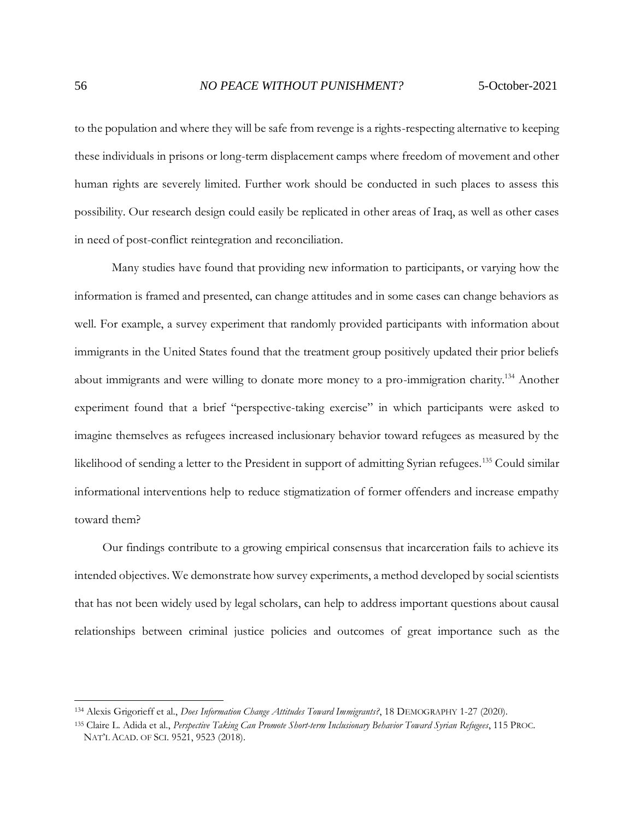to the population and where they will be safe from revenge is a rights-respecting alternative to keeping these individuals in prisons or long-term displacement camps where freedom of movement and other human rights are severely limited. Further work should be conducted in such places to assess this possibility. Our research design could easily be replicated in other areas of Iraq, as well as other cases in need of post-conflict reintegration and reconciliation.

Many studies have found that providing new information to participants, or varying how the information is framed and presented, can change attitudes and in some cases can change behaviors as well. For example, a survey experiment that randomly provided participants with information about immigrants in the United States found that the treatment group positively updated their prior beliefs about immigrants and were willing to donate more money to a pro-immigration charity.<sup>134</sup> Another experiment found that a brief "perspective-taking exercise" in which participants were asked to imagine themselves as refugees increased inclusionary behavior toward refugees as measured by the likelihood of sending a letter to the President in support of admitting Syrian refugees.<sup>135</sup> Could similar informational interventions help to reduce stigmatization of former offenders and increase empathy toward them?

Our findings contribute to a growing empirical consensus that incarceration fails to achieve its intended objectives. We demonstrate how survey experiments, a method developed by social scientists that has not been widely used by legal scholars, can help to address important questions about causal relationships between criminal justice policies and outcomes of great importance such as the

<sup>134</sup> Alexis Grigorieff et al., *Does Information Change Attitudes Toward Immigrants?*, 18 DEMOGRAPHY 1-27 (2020).

<sup>135</sup> Claire L. Adida et al., *Perspective Taking Can Promote Short-term Inclusionary Behavior Toward Syrian Refugees*, 115 PROC. NAT'L ACAD. OF SCI. 9521, 9523 (2018).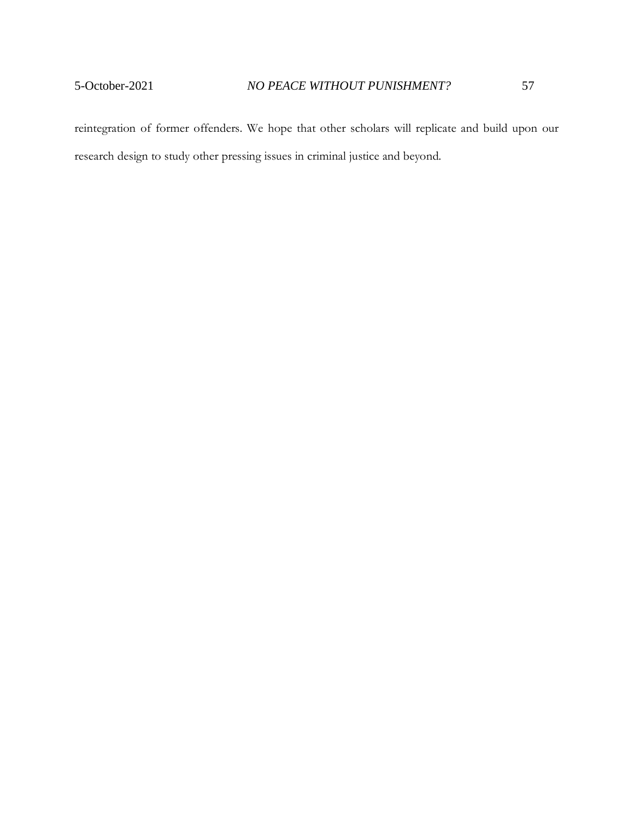reintegration of former offenders. We hope that other scholars will replicate and build upon our research design to study other pressing issues in criminal justice and beyond.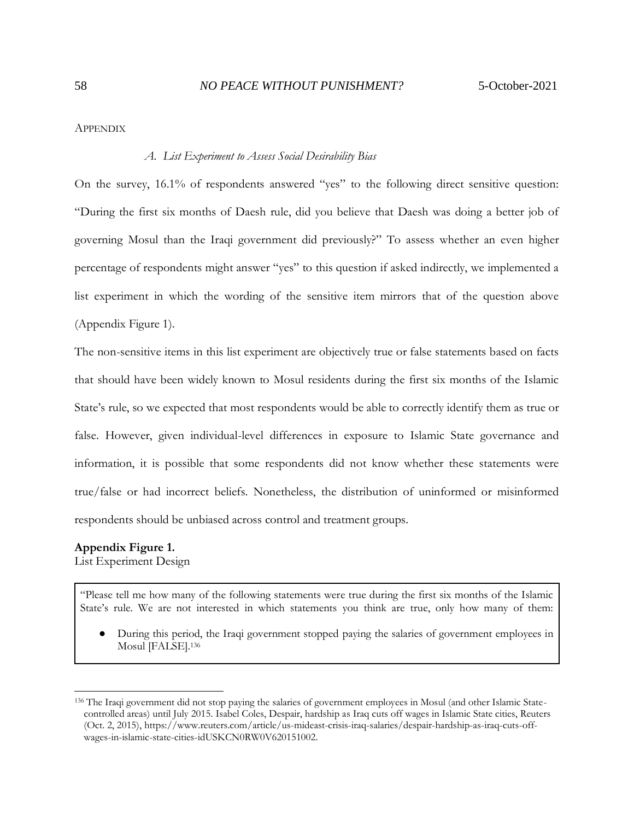<span id="page-57-1"></span><span id="page-57-0"></span>APPENDIX

#### *A. List Experiment to Assess Social Desirability Bias*

On the survey, 16.1% of respondents answered "yes" to the following direct sensitive question: "During the first six months of Daesh rule, did you believe that Daesh was doing a better job of governing Mosul than the Iraqi government did previously?" To assess whether an even higher percentage of respondents might answer "yes" to this question if asked indirectly, we implemented a list experiment in which the wording of the sensitive item mirrors that of the question above (Appendix Figure 1).

The non-sensitive items in this list experiment are objectively true or false statements based on facts that should have been widely known to Mosul residents during the first six months of the Islamic State's rule, so we expected that most respondents would be able to correctly identify them as true or false. However, given individual-level differences in exposure to Islamic State governance and information, it is possible that some respondents did not know whether these statements were true/false or had incorrect beliefs. Nonetheless, the distribution of uninformed or misinformed respondents should be unbiased across control and treatment groups.

## **Appendix Figure 1.**

List Experiment Design

"Please tell me how many of the following statements were true during the first six months of the Islamic State's rule. We are not interested in which statements you think are true, only how many of them:

During this period, the Iraqi government stopped paying the salaries of government employees in Mosul [FALSE].<sup>136</sup>

<sup>136</sup> The Iraqi government did not stop paying the salaries of government employees in Mosul (and other Islamic Statecontrolled areas) until July 2015. Isabel Coles, Despair, hardship as Iraq cuts off wages in Islamic State cities, Reuters (Oct. 2, 2015), https://www.reuters.com/article/us-mideast-crisis-iraq-salaries/despair-hardship-as-iraq-cuts-offwages-in-islamic-state-cities-idUSKCN0RW0V620151002.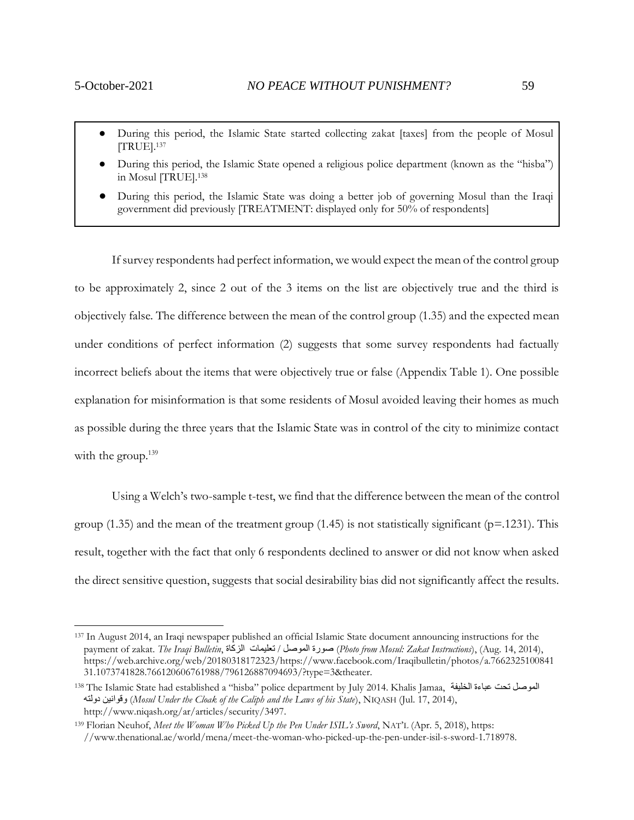- During this period, the Islamic State started collecting zakat [taxes] from the people of Mosul [TRUE].<sup>137</sup>
- During this period, the Islamic State opened a religious police department (known as the "hisba") in Mosul [TRUE].<sup>138</sup>
- During this period, the Islamic State was doing a better job of governing Mosul than the Iraqi government did previously [TREATMENT: displayed only for 50% of respondents]

If survey respondents had perfect information, we would expect the mean of the control group to be approximately 2, since 2 out of the 3 items on the list are objectively true and the third is objectively false. The difference between the mean of the control group (1.35) and the expected mean under conditions of perfect information (2) suggests that some survey respondents had factually incorrect beliefs about the items that were objectively true or false (Appendix Table 1). One possible explanation for misinformation is that some residents of Mosul avoided leaving their homes as much as possible during the three years that the Islamic State was in control of the city to minimize contact with the group.<sup>139</sup>

Using a Welch's two-sample t-test, we find that the difference between the mean of the control group (1.35) and the mean of the treatment group (1.45) is not statistically significant ( $p=1231$ ). This result, together with the fact that only 6 respondents declined to answer or did not know when asked the direct sensitive question, suggests that social desirability bias did not significantly affect the results.

<sup>137</sup> In August 2014, an Iraqi newspaper published an official Islamic State document announcing instructions for the payment of zakat. *The Iraqi Bulletin*, الزكاة تعليمات / الموصل صورة) *Photo from Mosul: Zakat Instructions*), (Aug. 14, 2014), https://web.archive.org/web/20180318172323/https://www.facebook.com/Iraqibulletin/photos/a.7662325100841 31.1073741828.766120606761988/796126887094693/?type=3&theater.

<sup>138</sup> The Islamic State had established a "hisba" police department by July 2014. Khalis Jamaa, الخليفة عباءة تحت الموصل دولته وقوانين) *Mosul Under the Cloak of the Caliph and the Laws of his State*), NIQASH (Jul. 17, 2014), http://www.niqash.org/ar/articles/security/3497.

<sup>139</sup> Florian Neuhof, *Meet the Woman Who Picked Up the Pen Under ISIL's Sword*, NAT'L (Apr. 5, 2018), https: //www.thenational.ae/world/mena/meet-the-woman-who-picked-up-the-pen-under-isil-s-sword-1.718978.